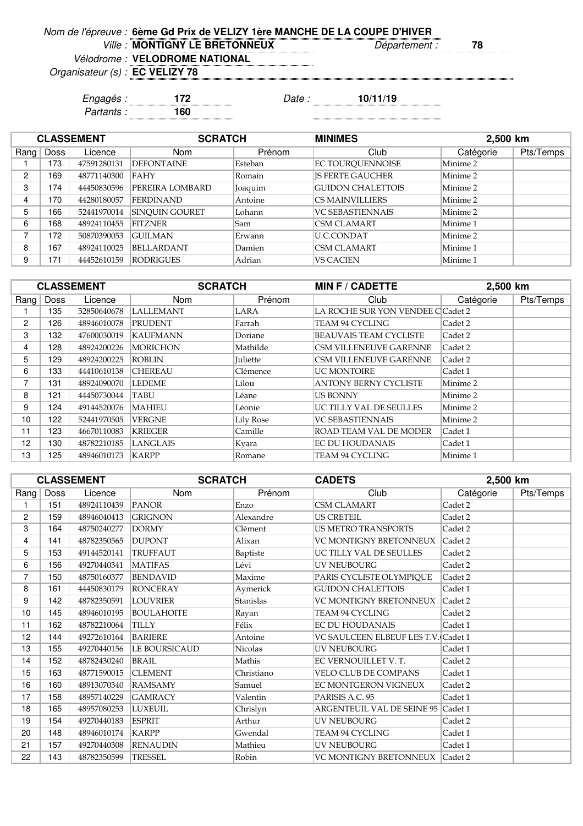| Nom de l'épreuve : 6ème Gd Prix de VELIZY 1ère MANCHE DE LA COUPE D'HIVER |               |                                     |
|---------------------------------------------------------------------------|---------------|-------------------------------------|
| Ville: MONTIGNY LE BRETONNEUX                                             | Département : | 78                                  |
| Vélodrome : VELODROME NATIONAL                                            |               | ,,,,,,,,,,,,,,,,,,,,,,,,,,,,,,,,,,, |

an<br>Bandaran Bandar

Organisateur (s) :

**EC VELIZY 78**

Engagés : **172** Date : **10/11/19**

Partants : **160**

|                | <b>CLASSEMENT</b> |             | <b>SCRATCH</b>        |         | <b>MINIMES</b><br>2,500 km |           |           |
|----------------|-------------------|-------------|-----------------------|---------|----------------------------|-----------|-----------|
| Rang           | Doss              | Licence     | <b>Nom</b>            | Prénom  | Club                       | Catégorie | Pts/Temps |
|                | 173               | 47591280131 | <b>IDEFONTAINE</b>    | Esteban | EC TOUROUENNOISE           | Minime 2  |           |
| $\overline{2}$ | 169               | 48771140300 | <b>FAHY</b>           | Romain  | <b>IS FERTE GAUCHER</b>    | Minime 2  |           |
| 3              | 174               | 44450830596 | PEREIRA LOMBARD       | Joaquim | <b>GUIDON CHALETTOIS</b>   | Minime 2  |           |
| 4              | 170               | 44280180057 | <b>FERDINAND</b>      | Antoine | <b>CS MAINVILLIERS</b>     | Minime 2  |           |
| 5              | 166               | 52441970014 | <b>SINOUIN GOURET</b> | Lohann  | <b>VC SEBASTIENNAIS</b>    | Minime 2  |           |
| 6              | 168               | 48924110455 | <b>FITZNER</b>        | Sam     | <b>CSM CLAMART</b>         | Minime 1  |           |
| 7              | 72                | 50870390053 | <b>GUILMAN</b>        | Erwann  | U.C.CONDAT                 | Minime 2  |           |
| 8              | 167               | 48924110025 | <b>BELLARDANT</b>     | Damien  | <b>CSM CLAMART</b>         | Minime 1  |           |
| 9              | 71                | 44452610159 | <b>RODRIGUES</b>      | Adrian  | <b>VS CACIEN</b>           | Minime 1  |           |

|                |      | <b>CLASSEMENT</b> | <b>SCRATCH</b>   |                 | <b>MIN F / CADETTE</b>            | 2,500 km  |           |
|----------------|------|-------------------|------------------|-----------------|-----------------------------------|-----------|-----------|
| Rang $ $       | Doss | Licence           | Nom              | Prénom          | Club                              | Catégorie | Pts/Temps |
|                | 135  | 52850640678       | <b>LALLEMANT</b> | LARA            | LA ROCHE SUR YON VENDEE C Cadet 2 |           |           |
| $\overline{c}$ | 126  | 48946010078       | PRUDENT          | Farrah          | TEAM 94 CYCLING                   | Cadet 2   |           |
| 3              | 132  | 47600030019       | KAUFMANN         | Doriane         | <b>BEAUVAIS TEAM CYCLISTE</b>     | Cadet 2   |           |
| 4              | 128  | 48924200226       | <b>MORICHON</b>  | Mathilde        | <b>CSM VILLENEUVE GARENNE</b>     | Cadet 2   |           |
| 5              | 129  | 48924200225       | <b>ROBLIN</b>    | <b>Juliette</b> | CSM VILLENEUVE GARENNE            | Cadet 2   |           |
| 6              | 133  | 44410610138       | <b>CHEREAU</b>   | Clémence        | <b>UC MONTOIRE</b>                | Cadet 1   |           |
| 7              | 131  | 48924090070       | <b>LEDEME</b>    | Lilou           | <b>ANTONY BERNY CYCLISTE</b>      | Minime 2  |           |
| 8              | 121  | 44450730044       | TABU             | Léane           | <b>US BONNY</b>                   | Minime 2  |           |
| 9              | 124  | 49144520076       | <b>MAHIEU</b>    | Léonie          | UC TILLY VAL DE SEULLES           | Minime 2  |           |
| 10             | 122  | 52441970505       | <b>VERGNE</b>    | Lily Rose       | <b>VC SEBASTIENNAIS</b>           | Minime 2  |           |
| 11             | 123  | 46670110083       | <b>KRIEGER</b>   | Camille         | ROAD TEAM VAL DE MODER            | Cadet 1   |           |
| 12             | 130  | 48782210185       | LANGLAIS         | Kyara           | <b>EC DU HOUDANAIS</b>            | Cadet 1   |           |
| 13             | 125  | 48946010173       | KARPP            | Romane          | <b>TEAM 94 CYCLING</b>            | Minime 1  |           |

|                |      | <b>CLASSEMENT</b> | <b>SCRATCH</b>       |                | <b>CADETS</b>                       | 2,500 km  |           |
|----------------|------|-------------------|----------------------|----------------|-------------------------------------|-----------|-----------|
| Rang $ $       | Doss | Licence           | Nom                  | Prénom         | Club                                | Catégorie | Pts/Temps |
|                | 151  | 48924110439       | <b>PANOR</b>         | Enzo           | <b>CSM CLAMART</b>                  | Cadet 2   |           |
| $\overline{2}$ | 159  | 48946040413       | <b>GRIGNON</b>       | Alexandre      | <b>US CRETEIL</b>                   | Cadet 2   |           |
| 3              | 164  | 48750240277       | <b>DORMY</b>         | Clément        | <b>US METRO TRANSPORTS</b>          | Cadet 2   |           |
| 4              | 141  | 48782350565       | <b>DUPONT</b>        | Alixan         | VC MONTIGNY BRETONNEUX              | Cadet 2   |           |
| 5              | 153  | 49144520141       | <b>TRUFFAUT</b>      | Baptiste       | UC TILLY VAL DE SEULLES             | Cadet 2   |           |
| 6              | 156  | 49270440341       | <b>MATIFAS</b>       | Lévi           | <b>UV NEUBOURG</b>                  | Cadet 2   |           |
| $\overline{7}$ | 150  | 48750160377       | <b>BENDAVID</b>      | Maxime         | PARIS CYCLISTE OLYMPIOUE            | Cadet 2   |           |
| 8              | 161  | 44450830179       | <b>RONCERAY</b>      | Aymerick       | <b>GUIDON CHALETTOIS</b>            | Cadet 1   |           |
| 9              | 142  | 48782350591       | <b>LOUVRIER</b>      | Stanislas      | VC MONTIGNY BRETONNEUX              | Cadet 2   |           |
| 10             | 145  | 48946010195       | <b>BOULAHOITE</b>    | Rayan          | TEAM 94 CYCLING                     | Cadet 2   |           |
| 11             | 162  | 48782210064       | <b>TILLY</b>         | Félix          | <b>EC DU HOUDANAIS</b>              | Cadet 1   |           |
| 12             | 144  | 49272610164       | <b>BARIERE</b>       | Antoine        | VC SAULCEEN ELBEUF LES T.V. Cadet 1 |           |           |
| 13             | 155  | 49270440156       | <b>LE BOURSICAUD</b> | <b>Nicolas</b> | <b>UV NEUBOURG</b>                  | Cadet 1   |           |
| 14             | 152  | 48782430240       | <b>BRAIL</b>         | Mathis         | EC VERNOUILLET V. T.                | Cadet 2   |           |
| 15             | 163  | 48771590015       | <b>CLEMENT</b>       | Christiano     | VELO CLUB DE COMPANS                | Cadet 1   |           |
| 16             | 160  | 48913070340       | <b>RAMSAMY</b>       | Samuel         | EC MONTGERON VIGNEUX                | Cadet 2   |           |
| 17             | 158  | 48957140229       | <b>GAMRACY</b>       | Valentin       | PARISIS A.C. 95                     | Cadet 1   |           |
| 18             | 165  | 48957080253       | <b>LUXEUIL</b>       | Chrislyn       | ARGENTEUIL VAL DE SEINE 95          | Cadet 1   |           |
| 19             | 154  | 49270440183       | <b>ESPRIT</b>        | Arthur         | <b>UV NEUBOURG</b>                  | Cadet 2   |           |
| 20             | 148  | 48946010174       | <b>KARPP</b>         | Gwendal        | TEAM 94 CYCLING                     | Cadet 1   |           |
| 21             | 157  | 49270440308       | <b>RENAUDIN</b>      | Mathieu        | <b>UV NEUBOURG</b>                  | Cadet 1   |           |
| 22             | 143  | 48782350599       | <b>TRESSEL</b>       | Robin          | VC MONTIGNY BRETONNEUX Cadet 2      |           |           |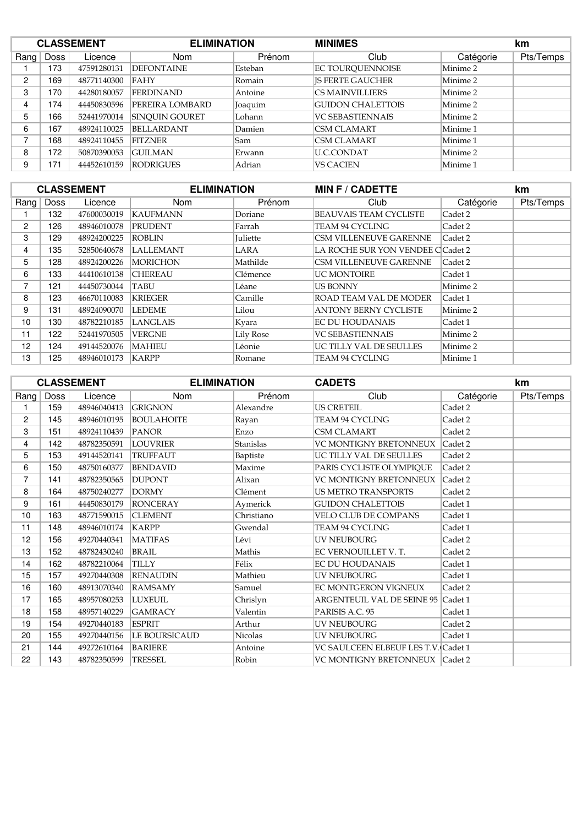|                | <b>CLASSEMENT</b> |             | <b>ELIMINATION</b>     |         | <b>MINIMES</b>           |           | km        |
|----------------|-------------------|-------------|------------------------|---------|--------------------------|-----------|-----------|
| Rang $ $       | Doss              | Licence     | <b>Nom</b>             | Prénom  | Club                     | Catégorie | Pts/Temps |
|                | 173               | 47591280131 | <b>DEFONTAINE</b>      | Esteban | <b>EC TOUROUENNOISE</b>  | Minime 2  |           |
| $\overline{c}$ | 169               | 48771140300 | <b>FAHY</b>            | Romain  | <b>IS FERTE GAUCHER</b>  | Minime 2  |           |
| 3              | 170               | 44280180057 | <b>FERDINAND</b>       | Antoine | <b>CS MAINVILLIERS</b>   | Minime 2  |           |
| 4              | 174               | 44450830596 | <b>PEREIRA LOMBARD</b> | Joaquim | <b>GUIDON CHALETTOIS</b> | Minime 2  |           |
| 5              | 166               | 52441970014 | <b>SINOUIN GOURET</b>  | Lohann  | <b>VC SEBASTIENNAIS</b>  | Minime 2  |           |
| 6              | 167               | 48924110025 | BELLARDANT             | Damien  | <b>CSM CLAMART</b>       | Minime 1  |           |
| ⇁              | 168               | 48924110455 | <b>FITZNER</b>         | Sam     | <b>CSM CLAMART</b>       | Minime 1  |           |
| 8              | 172               | 50870390053 | <b>GUILMAN</b>         | Erwann  | <b>U.C.CONDAT</b>        | Minime 2  |           |
| 9              | 171               | 44452610159 | <b>RODRIGUES</b>       | Adrian  | <b>VS CACIEN</b>         | Minime 1  |           |

|      |      | <b>CLASSEMENT</b> | <b>ELIMINATION</b> |           | <b>MIN F / CADETTE</b>            |           | km        |
|------|------|-------------------|--------------------|-----------|-----------------------------------|-----------|-----------|
| Rang | Doss | Licence           | <b>Nom</b>         | Prénom    | Club                              | Catégorie | Pts/Temps |
|      | 132  | 47600030019       | KAUFMANN           | Doriane   | <b>BEAUVAIS TEAM CYCLISTE</b>     | Cadet 2   |           |
| 2    | 126  | 48946010078       | <b>PRUDENT</b>     | Farrah    | TEAM 94 CYCLING                   | Cadet 2   |           |
| 3    | 129  | 48924200225       | <b>ROBLIN</b>      | Juliette  | <b>CSM VILLENEUVE GARENNE</b>     | Cadet 2   |           |
| 4    | 135  | 52850640678       | <b>LALLEMANT</b>   | LARA      | LA ROCHE SUR YON VENDEE C Cadet 2 |           |           |
| 5    | 128  | 48924200226       | <b>MORICHON</b>    | Mathilde  | <b>CSM VILLENEUVE GARENNE</b>     | Cadet 2   |           |
| 6    | 133  | 44410610138       | <b>CHEREAU</b>     | Clémence  | <b>UC MONTOIRE</b>                | Cadet 1   |           |
| ⇁    | 121  | 44450730044       | TABU               | Léane     | <b>US BONNY</b>                   | Minime 2  |           |
| 8    | 123  | 46670110083       | <b>KRIEGER</b>     | Camille   | <b>ROAD TEAM VAL DE MODER</b>     | Cadet 1   |           |
| 9    | 131  | 48924090070       | <b>LEDEME</b>      | Lilou     | <b>ANTONY BERNY CYCLISTE</b>      | Minime 2  |           |
| 10   | 130  | 48782210185       | <b>LANGLAIS</b>    | Kyara     | <b>EC DU HOUDANAIS</b>            | Cadet 1   |           |
| 11   | 122  | 52441970505       | <b>VERGNE</b>      | Lily Rose | <b>VC SEBASTIENNAIS</b>           | Minime 2  |           |
| 12   | 124  | 49144520076       | <b>MAHIEU</b>      | Léonie    | UC TILLY VAL DE SEULLES           | Minime 2  |           |
| 13   | 125  | 48946010173       | <b>KARPP</b>       | Romane    | TEAM 94 CYCLING                   | Minime 1  |           |

|                |             | <b>CLASSEMENT</b> | <b>ELIMINATION</b> |                | <b>CADETS</b>                       |           | km        |
|----------------|-------------|-------------------|--------------------|----------------|-------------------------------------|-----------|-----------|
| Rang           | <b>Doss</b> | Licence           | Nom                | Prénom         | Club                                | Catégorie | Pts/Temps |
|                | 159         | 48946040413       | <b>GRIGNON</b>     | Alexandre      | <b>US CRETEIL</b>                   | Cadet 2   |           |
| 2              | 145         | 48946010195       | <b>BOULAHOITE</b>  | Rayan          | TEAM 94 CYCLING                     | Cadet 2   |           |
| 3              | 151         | 48924110439       | PANOR              | Enzo           | <b>CSM CLAMART</b>                  | Cadet 2   |           |
| 4              | 142         | 48782350591       | <b>LOUVRIER</b>    | Stanislas      | VC MONTIGNY BRETONNEUX              | Cadet 2   |           |
| 5              | 153         | 49144520141       | <b>TRUFFAUT</b>    | Baptiste       | UC TILLY VAL DE SEULLES             | Cadet 2   |           |
| 6              | 150         | 48750160377       | <b>BENDAVID</b>    | Maxime         | PARIS CYCLISTE OLYMPIQUE            | Cadet 2   |           |
| $\overline{7}$ | 141         | 48782350565       | <b>DUPONT</b>      | Alixan         | VC MONTIGNY BRETONNEUX              | Cadet 2   |           |
| 8              | 164         | 48750240277       | <b>DORMY</b>       | Clément        | <b>US METRO TRANSPORTS</b>          | Cadet 2   |           |
| 9              | 161         | 44450830179       | <b>RONCERAY</b>    | Aymerick       | <b>GUIDON CHALETTOIS</b>            | Cadet 1   |           |
| 10             | 163         | 48771590015       | <b>CLEMENT</b>     | Christiano     | <b>VELO CLUB DE COMPANS</b>         | Cadet 1   |           |
| 11             | 148         | 48946010174       | <b>KARPP</b>       | Gwendal        | TEAM 94 CYCLING                     | Cadet 1   |           |
| 12             | 156         | 49270440341       | <b>MATIFAS</b>     | Lévi           | <b>UV NEUBOURG</b>                  | Cadet 2   |           |
| 13             | 152         | 48782430240       | <b>BRAIL</b>       | Mathis         | EC VERNOUILLET V. T.                | Cadet 2   |           |
| 14             | 162         | 48782210064       | <b>TILLY</b>       | Félix          | <b>EC DU HOUDANAIS</b>              | Cadet 1   |           |
| 15             | 157         | 49270440308       | <b>RENAUDIN</b>    | Mathieu        | <b>UV NEUBOURG</b>                  | Cadet 1   |           |
| 16             | 160         | 48913070340       | <b>RAMSAMY</b>     | Samuel         | EC MONTGERON VIGNEUX                | Cadet 2   |           |
| 17             | 165         | 48957080253       | <b>LUXEUIL</b>     | Chrislyn       | <b>ARGENTEUIL VAL DE SEINE 95</b>   | Cadet 1   |           |
| 18             | 158         | 48957140229       | <b>GAMRACY</b>     | Valentin       | PARISIS A.C. 95                     | Cadet 1   |           |
| 19             | 154         | 49270440183       | <b>ESPRIT</b>      | Arthur         | <b>UV NEUBOURG</b>                  | Cadet 2   |           |
| 20             | 155         | 49270440156       | LE BOURSICAUD      | <b>Nicolas</b> | <b>UV NEUBOURG</b>                  | Cadet 1   |           |
| 21             | 144         | 49272610164       | <b>BARIERE</b>     | Antoine        | VC SAULCEEN ELBEUF LES T.V. Cadet 1 |           |           |
| 22             | 143         | 48782350599       | <b>TRESSEL</b>     | Robin          | VC MONTIGNY BRETONNEUX Cadet 2      |           |           |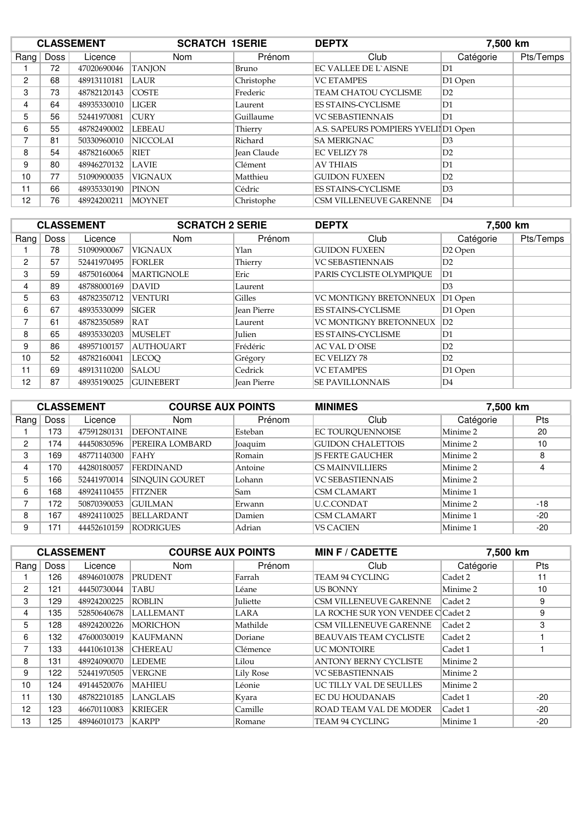| <b>CLASSEMENT</b> |      | <b>SCRATCH 1SERIE</b> |                 | <b>DEPTX</b> |                                     | 7,500 km       |           |
|-------------------|------|-----------------------|-----------------|--------------|-------------------------------------|----------------|-----------|
| Rang              | Doss | Licence               | Nom             | Prénom       | Club                                | Catégorie      | Pts/Temps |
|                   | 72   | 47020690046           | <b>TANJON</b>   | Bruno        | EC VALLEE DE L`AISNE                | D1             |           |
| 2                 | 68   | 48913110181           | <b>LAUR</b>     | Christophe   | <b>VC ETAMPES</b>                   | D1 Open        |           |
| 3                 | 73   | 48782120143           | <b>COSTE</b>    | Frederic     | TEAM CHATOU CYCLISME                | D2             |           |
| 4                 | 64   | 48935330010           | <b>LIGER</b>    | Laurent      | <b>ES STAINS-CYCLISME</b>           | D <sub>1</sub> |           |
| 5                 | 56   | 52441970081           | <b>CURY</b>     | Guillaume    | <b>VC SEBASTIENNAIS</b>             | D <sub>1</sub> |           |
| 6                 | 55   | 48782490002           | <b>LEBEAU</b>   | Thierry      | A.S. SAPEURS POMPIERS YVELIID1 Open |                |           |
| 7                 | 81   | 50330960010           | <b>NICCOLAI</b> | Richard      | <b>SA MERIGNAC</b>                  | D <sub>3</sub> |           |
| 8                 | 54   | 48782160065           | RIET            | Jean Claude  | <b>EC VELIZY 78</b>                 | D2             |           |
| 9                 | 80   | 48946270132           | <b>LAVIE</b>    | Clément      | <b>AV THIAIS</b>                    | D <sub>1</sub> |           |
| 10                | 77   | 51090900035           | <b>VIGNAUX</b>  | Matthieu     | <b>GUIDON FUXEEN</b>                | D2             |           |
| 11                | 66   | 48935330190           | PINON           | Cédric       | <b>ES STAINS-CYCLISME</b>           | D <sub>3</sub> |           |
| 12                | 76   | 48924200211           | <b>MOYNET</b>   | Christophe   | <b>CSM VILLENEUVE GARENNE</b>       | D <sub>4</sub> |           |

| <b>CLASSEMENT</b> |      |             | <b>SCRATCH 2 SERIE</b> |                    | <b>DEPTX</b>                  | 7,500 km            |           |
|-------------------|------|-------------|------------------------|--------------------|-------------------------------|---------------------|-----------|
| Rang              | Doss | Licence     | <b>Nom</b>             | Prénom             | Club                          | Catégorie           | Pts/Temps |
|                   | 78   | 51090900067 | <b>VIGNAUX</b>         | Ylan               | <b>GUIDON FUXEEN</b>          | D <sub>2</sub> Open |           |
| $\overline{2}$    | 57   | 52441970495 | <b>FORLER</b>          | Thierry            | <b>VC SEBASTIENNAIS</b>       | D2                  |           |
| 3                 | 59   | 48750160064 | <b>MARTIGNOLE</b>      | Eric               | PARIS CYCLISTE OLYMPIOUE      | D <sub>1</sub>      |           |
| 4                 | 89   | 48788000169 | DAVID                  | Laurent            |                               | D <sub>3</sub>      |           |
| 5                 | 63   | 48782350712 | <b>VENTURI</b>         | Gilles             | <b>VC MONTIGNY BRETONNEUX</b> | D1 Open             |           |
| 6                 | 67   | 48935330099 | <b>SIGER</b>           | <b>Jean Pierre</b> | <b>ES STAINS-CYCLISME</b>     | D1 Open             |           |
| 7                 | 61   | 48782350589 | RAT                    | Laurent            | VC MONTIGNY BRETONNEUX        | D2                  |           |
| 8                 | 65   | 48935330203 | <b>MUSELET</b>         | Julien             | <b>ES STAINS-CYCLISME</b>     | D <sub>1</sub>      |           |
| 9                 | 86   | 48957100157 | <b>AUTHOUART</b>       | Frédéric           | <b>AC VAL D`OISE</b>          | D2                  |           |
| 10                | 52   | 48782160041 | <b>LECOO</b>           | Grégory            | EC VELIZY 78                  | D2                  |           |
| 11                | 69   | 48913110200 | <b>SALOU</b>           | Cedrick            | <b>VC ETAMPES</b>             | D1 Open             |           |
| 12                | 87   | 48935190025 | <b>GUINEBERT</b>       | <b>Jean Pierre</b> | <b>SE PAVILLONNAIS</b>        | D4                  |           |

|      |      | <b>CLASSEMENT</b> | <b>COURSE AUX POINTS</b> |               | <b>MINIMES</b><br>7,500 km |           |       |
|------|------|-------------------|--------------------------|---------------|----------------------------|-----------|-------|
| Rang | Doss | Licence           | Nom                      | Prénom        | Club                       | Catégorie | Pts   |
|      | 173  | 47591280131       | <b>DEFONTAINE</b>        | Esteban       | EC TOURQUENNOISE           | Minime 2  | 20    |
| 2    | 174  | 44450830596       | PEREIRA LOMBARD          | Joaquim       | <b>GUIDON CHALETTOIS</b>   | Minime 2  | 10    |
| 3    | 169  | 48771140300       | <b>FAHY</b>              | Romain        | <b>IS FERTE GAUCHER</b>    | Minime 2  | 8     |
| 4    | 170  | 44280180057       | <b>FERDINAND</b>         | Antoine       | <b>CS MAINVILLIERS</b>     | Minime 2  | 4     |
| 5    | 166  | 52441970014       | <b>SINOUIN GOURET</b>    | Lohann        | <b>VC SEBASTIENNAIS</b>    | Minime 2  |       |
| 6    | 168  | 48924110455       | <b>FITZNER</b>           | Sam           | <b>CSM CLAMART</b>         | Minime 1  |       |
| ⇁    | 172  | 50870390053       | <b>GUILMAN</b>           | <b>Erwann</b> | U.C.CONDAT                 | Minime 2  | $-18$ |
| 8    | 167  | 48924110025       | <b>BELLARDANT</b>        | Damien        | <b>CSM CLAMART</b>         | Minime 1  | $-20$ |
| 9    | 171  | 44452610159       | RODRIGUES                | Adrian        | <b>VS CACIEN</b>           | Minime 1  | $-20$ |

|                |             | <b>CLASSEMENT</b> | <b>COURSE AUX POINTS</b> |                  | <b>MIN F / CADETTE</b>            | 7,500 km  |            |  |
|----------------|-------------|-------------------|--------------------------|------------------|-----------------------------------|-----------|------------|--|
| Rang           | <b>Doss</b> | Licence           | <b>Nom</b>               | Prénom           | Club                              | Catégorie | <b>Pts</b> |  |
|                | 126         | 48946010078       | <b>PRUDENT</b>           | Farrah           | <b>TEAM 94 CYCLING</b>            | Cadet 2   | 11         |  |
| $\overline{2}$ | 121         | 44450730044       | <b>TABU</b>              | Léane            | <b>US BONNY</b>                   | Minime 2  | 10         |  |
| 3              | 129         | 48924200225       | <b>ROBLIN</b>            | <b>Juliette</b>  | <b>CSM VILLENEUVE GARENNE</b>     | Cadet 2   | 9          |  |
| 4              | 135         | 52850640678       | <b>LALLEMANT</b>         | LARA             | LA ROCHE SUR YON VENDEE C Cadet 2 |           | 9          |  |
| 5.             | 128         | 48924200226       | <b>MORICHON</b>          | Mathilde         | <b>CSM VILLENEUVE GARENNE</b>     | Cadet 2   | 3          |  |
| 6              | 132         | 47600030019       | <b>KAUFMANN</b>          | Doriane          | BEAUVAIS TEAM CYCLISTE            | Cadet 2   |            |  |
| 7              | 133         | 44410610138       | <b>CHEREAU</b>           | Clémence         | UC MONTOIRE                       | Cadet 1   |            |  |
| 8              | 131         | 48924090070       | LEDEME.                  | Lilou            | <b>ANTONY BERNY CYCLISTE</b>      | Minime 2  |            |  |
| 9              | 122         | 52441970505       | <b>VERGNE</b>            | <b>Lily Rose</b> | <b>VC SEBASTIENNAIS</b>           | Minime 2  |            |  |
| 10             | 124         | 49144520076       | <b>MAHIEU</b>            | Léonie           | UC TILLY VAL DE SEULLES           | Minime 2  |            |  |
| 11             | 130         | 48782210185       | <b>LANGLAIS</b>          | Kyara            | <b>EC DU HOUDANAIS</b>            | Cadet 1   | $-20$      |  |
| 12             | 123         | 46670110083       | <b>KRIEGER</b>           | Camille          | <b>ROAD TEAM VAL DE MODER</b>     | Cadet 1   | $-20$      |  |
| 13             | 125         | 48946010173       | KARPP                    | Romane           | TEAM 94 CYCLING                   | Minime 1  | $-20$      |  |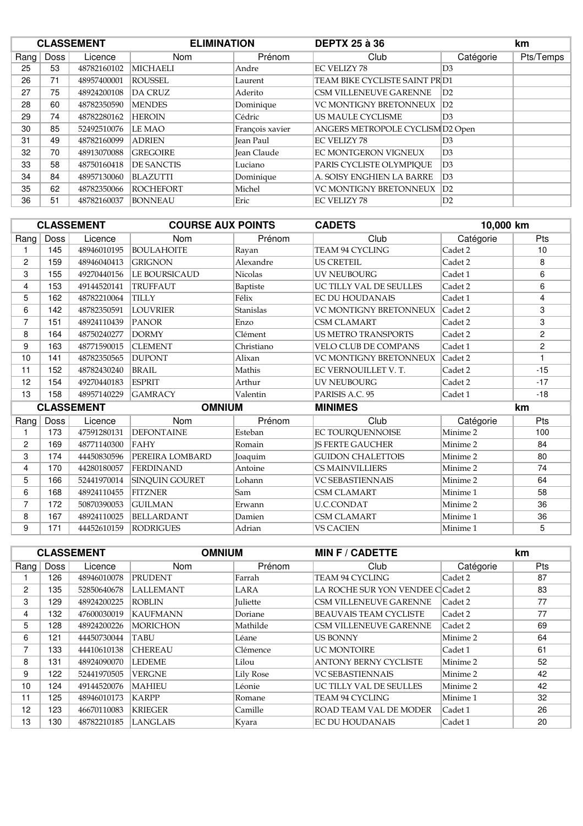|      |      | <b>CLASSEMENT</b> | <b>ELIMINATION</b> |                 | <b>DEPTX 25 à 36</b>             |                | km        |
|------|------|-------------------|--------------------|-----------------|----------------------------------|----------------|-----------|
| Rang | Doss | Licence           | <b>Nom</b>         | Prénom          | Club                             | Catégorie      | Pts/Temps |
| 25   | 53   | 48782160102       | <b>MICHAELI</b>    | Andre           | <b>EC VELIZY 78</b>              | D <sub>3</sub> |           |
| 26   | 71   | 48957400001       | <b>ROUSSEL</b>     | Laurent         | TEAM BIKE CYCLISTE SAINT PR D1   |                |           |
| 27   | 75   | 48924200108       | <b>DA CRUZ</b>     | Aderito         | CSM VILLENEUVE GARENNE           | D2             |           |
| 28   | 60   | 48782350590       | <b>MENDES</b>      | Dominique       | <b>VC MONTIGNY BRETONNEUX</b>    | D2             |           |
| 29   | 74   | 48782280162       | <b>HEROIN</b>      | Cédric          | US MAULE CYCLISME                | D <sub>3</sub> |           |
| 30   | 85   | 52492510076       | <b>LE MAO</b>      | François xavier | ANGERS METROPOLE CYCLISM D2 Open |                |           |
| 31   | 49   | 48782160099       | <b>ADRIEN</b>      | Iean Paul       | <b>EC VELIZY 78</b>              | D <sub>3</sub> |           |
| 32   | 70   | 48913070088       | <b>GREGOIRE</b>    | Jean Claude     | EC MONTGERON VIGNEUX             | D <sub>3</sub> |           |
| 33   | 58   | 48750160418       | <b>DE SANCTIS</b>  | Luciano         | PARIS CYCLISTE OLYMPIOUE         | D <sub>3</sub> |           |
| 34   | 84   | 48957130060       | <b>BLAZUTTI</b>    | Dominique       | A. SOISY ENGHIEN LA BARRE        | D <sub>3</sub> |           |
| 35   | 62   | 48782350066       | <b>ROCHEFORT</b>   | Michel          | <b>VC MONTIGNY BRETONNEUX</b>    | D2             |           |
| 36   | 51   | 48782160037       | <b>BONNEAU</b>     | Eric            | <b>EC VELIZY 78</b>              | D2             |           |

|                |             | <b>CLASSEMENT</b> | <b>COURSE AUX POINTS</b> |                | <b>CADETS</b>                 | 10,000 km |                |
|----------------|-------------|-------------------|--------------------------|----------------|-------------------------------|-----------|----------------|
| Rang           | <b>Doss</b> | Licence           | Nom                      | Prénom         | Club                          | Catégorie | Pts            |
| 1              | 145         | 48946010195       | <b>BOULAHOITE</b>        | Rayan          | <b>TEAM 94 CYCLING</b>        | Cadet 2   | 10             |
| $\overline{2}$ | 159         | 48946040413       | <b>GRIGNON</b>           | Alexandre      | <b>US CRETEIL</b>             | Cadet 2   | 8              |
| 3              | 155         | 49270440156       | <b>LE BOURSICAUD</b>     | <b>Nicolas</b> | <b>UV NEUBOURG</b>            | Cadet 1   | 6              |
| 4              | 153         | 49144520141       | <b>TRUFFAUT</b>          | Baptiste       | UC TILLY VAL DE SEULLES       | Cadet 2   | 6              |
| 5              | 162         | 48782210064       | <b>TILLY</b>             | Félix          | <b>EC DU HOUDANAIS</b>        | Cadet 1   | 4              |
| 6              | 142         | 48782350591       | <b>LOUVRIER</b>          | Stanislas      | <b>VC MONTIGNY BRETONNEUX</b> | Cadet 2   | 3              |
| $\overline{7}$ | 151         | 48924110439       | <b>PANOR</b>             | Enzo           | <b>CSM CLAMART</b>            | Cadet 2   | 3              |
| 8              | 164         | 48750240277       | <b>DORMY</b>             | Clément        | <b>US METRO TRANSPORTS</b>    | Cadet 2   | $\overline{2}$ |
| 9              | 163         | 48771590015       | <b>CLEMENT</b>           | Christiano     | <b>VELO CLUB DE COMPANS</b>   | Cadet 1   | $\overline{2}$ |
| 10             | 141         | 48782350565       | <b>DUPONT</b>            | Alixan         | <b>VC MONTIGNY BRETONNEUX</b> | Cadet 2   | 1              |
| 11             | 152         | 48782430240       | <b>BRAIL</b>             | Mathis         | EC VERNOUILLET V.T.           | Cadet 2   | $-15$          |
| 12             | 154         | 49270440183       | <b>ESPRIT</b>            | Arthur         | <b>UV NEUBOURG</b>            | Cadet 2   | $-17$          |
| 13             | 158         | 48957140229       | <b>GAMRACY</b>           | Valentin       | PARISIS A.C. 95               | Cadet 1   | $-18$          |
|                |             | <b>CLASSEMENT</b> | <b>OMNIUM</b>            |                | <b>MINIMES</b>                |           | km             |
| Rang           | Doss        | Licence           | Nom                      | Prénom         | Club                          | Catégorie | Pts            |
| 1              | 173         | 47591280131       | <b>DEFONTAINE</b>        | Esteban        | EC TOURQUENNOISE              | Minime 2  | 100            |
| 2              | 169         | 48771140300       | FAHY                     | Romain         | <b>JS FERTE GAUCHER</b>       | Minime 2  | 84             |
| 3              | 174         | 44450830596       | PEREIRA LOMBARD          | Joaquim        | <b>GUIDON CHALETTOIS</b>      | Minime 2  | 80             |
| 4              | 170         | 44280180057       | <b>FERDINAND</b>         | Antoine        | <b>CS MAINVILLIERS</b>        | Minime 2  | 74             |
| 5              | 166         | 52441970014       | <b>SINOUIN GOURET</b>    | Lohann         | <b>VC SEBASTIENNAIS</b>       | Minime 2  | 64             |
| 6              | 168         | 48924110455       | <b>FITZNER</b>           | Sam            | <b>CSM CLAMART</b>            | Minime 1  | 58             |
| 7              | 172         | 50870390053       | <b>GUILMAN</b>           | Erwann         | <b>U.C.CONDAT</b>             | Minime 2  | 36             |
| 8              | 167         | 48924110025       | <b>BELLARDANT</b>        | Damien         | <b>CSM CLAMART</b>            | Minime 1  | 36             |
| 9              | 171         | 44452610159       | <b>RODRIGUES</b>         | Adrian         | <b>VS CACIEN</b>              | Minime 1  | 5              |

|                | <b>CLASSEMENT</b> |             |                 | <b>OMNIUM</b>   | <b>MIN F / CADETTE</b>            |           | km         |
|----------------|-------------------|-------------|-----------------|-----------------|-----------------------------------|-----------|------------|
| Rang           | Doss              | Licence     | Nom             | Prénom          | Club                              | Catégorie | <b>Pts</b> |
|                | 126               | 48946010078 | PRUDENT         | Farrah          | TEAM 94 CYCLING                   | Cadet 2   | 87         |
| $\overline{2}$ | 135               | 52850640678 | LALLEMANT       | LARA            | LA ROCHE SUR YON VENDEE C Cadet 2 |           | 83         |
| 3              | 129               | 48924200225 | <b>ROBLIN</b>   | <b>Juliette</b> | <b>CSM VILLENEUVE GARENNE</b>     | Cadet 2   | 77         |
| 4              | 132               | 47600030019 | <b>KAUFMANN</b> | Doriane         | BEAUVAIS TEAM CYCLISTE            | Cadet 2   | 77         |
| 5.             | 128               | 48924200226 | <b>MORICHON</b> | Mathilde        | <b>CSM VILLENEUVE GARENNE</b>     | Cadet 2   | 69         |
| 6              | 121               | 44450730044 | TABU            | Léane           | US BONNY                          | Minime 2  | 64         |
| 7              | 133               | 44410610138 | <b>CHEREAU</b>  | Clémence        | <b>UC MONTOIRE</b>                | Cadet 1   | 61         |
| 8              | 131               | 48924090070 | LEDEME          | Lilou           | <b>ANTONY BERNY CYCLISTE</b>      | Minime 2  | 52         |
| 9              | 122               | 52441970505 | <b>VERGNE</b>   | Lily Rose       | <b>VC SEBASTIENNAIS</b>           | Minime 2  | 42         |
| 10             | 124               | 49144520076 | <b>MAHIEU</b>   | Léonie          | UC TILLY VAL DE SEULLES           | Minime 2  | 42         |
| 11             | 125               | 48946010173 | KARPP           | Romane          | TEAM 94 CYCLING                   | Minime 1  | 32         |
| 12             | 123               | 46670110083 | <b>KRIEGER</b>  | Camille         | <b>ROAD TEAM VAL DE MODER</b>     | Cadet 1   | 26         |
| 13             | 130               | 48782210185 | LANGLAIS        | Kyara           | <b>EC DU HOUDANAIS</b>            | Cadet 1   | 20         |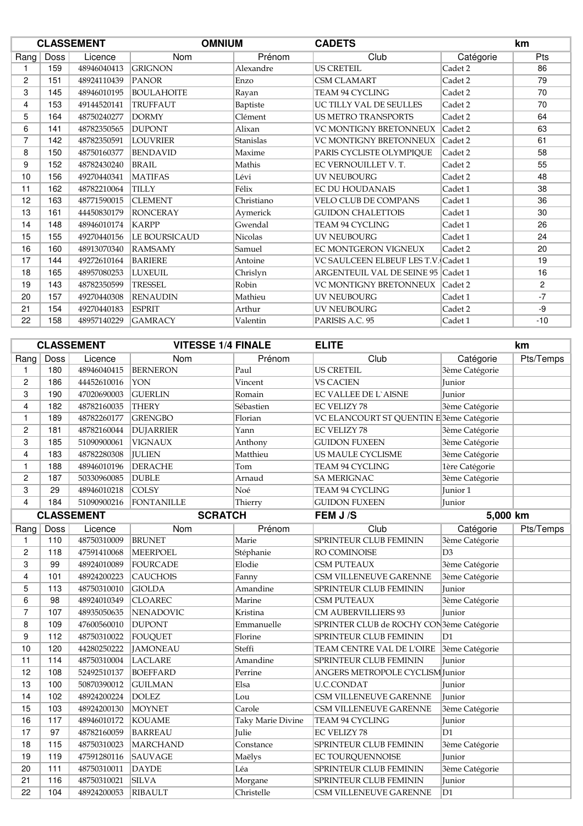|                |      | <b>CLASSEMENT</b> | <b>OMNIUM</b>     |            | <b>CADETS</b>                       |           | km             |
|----------------|------|-------------------|-------------------|------------|-------------------------------------|-----------|----------------|
| Rang           | Doss | Licence           | <b>Nom</b>        | Prénom     | Club                                | Catégorie | Pts            |
|                | 159  | 48946040413       | <b>GRIGNON</b>    | Alexandre  | <b>US CRETEIL</b>                   | Cadet 2   | 86             |
| 2              | 151  | 48924110439       | <b>PANOR</b>      | Enzo       | <b>CSM CLAMART</b>                  | Cadet 2   | 79             |
| 3              | 145  | 48946010195       | <b>BOULAHOITE</b> | Rayan      | TEAM 94 CYCLING                     | Cadet 2   | 70             |
| 4              | 153  | 49144520141       | <b>TRUFFAUT</b>   | Baptiste   | UC TILLY VAL DE SEULLES             | Cadet 2   | 70             |
| 5              | 164  | 48750240277       | <b>DORMY</b>      | Clément    | <b>US METRO TRANSPORTS</b>          | Cadet 2   | 64             |
| 6              | 141  | 48782350565       | <b>DUPONT</b>     | Alixan     | VC MONTIGNY BRETONNEUX              | Cadet 2   | 63             |
| $\overline{7}$ | 142  | 48782350591       | <b>LOUVRIER</b>   | Stanislas  | VC MONTIGNY BRETONNEUX              | Cadet 2   | 61             |
| 8              | 150  | 48750160377       | <b>BENDAVID</b>   | Maxime     | PARIS CYCLISTE OLYMPIQUE            | Cadet 2   | 58             |
| 9              | 152  | 48782430240       | <b>BRAIL</b>      | Mathis     | EC VERNOUILLET V. T.                | Cadet 2   | 55             |
| 10             | 156  | 49270440341       | <b>MATIFAS</b>    | Lévi       | <b>UV NEUBOURG</b>                  | Cadet 2   | 48             |
| 11             | 162  | 48782210064       | <b>TILLY</b>      | Félix      | <b>EC DU HOUDANAIS</b>              | Cadet 1   | 38             |
| 12             | 163  | 48771590015       | <b>CLEMENT</b>    | Christiano | <b>VELO CLUB DE COMPANS</b>         | Cadet 1   | 36             |
| 13             | 161  | 44450830179       | <b>RONCERAY</b>   | Aymerick   | <b>GUIDON CHALETTOIS</b>            | Cadet 1   | 30             |
| 14             | 148  | 48946010174       | <b>KARPP</b>      | Gwendal    | TEAM 94 CYCLING                     | Cadet 1   | 26             |
| 15             | 155  | 49270440156       | LE BOURSICAUD     | Nicolas    | <b>UV NEUBOURG</b>                  | Cadet 1   | 24             |
| 16             | 160  | 48913070340       | <b>RAMSAMY</b>    | Samuel     | EC MONTGERON VIGNEUX                | Cadet 2   | 20             |
| 17             | 144  | 49272610164       | <b>BARIERE</b>    | Antoine    | VC SAULCEEN ELBEUF LES T.V. Cadet 1 |           | 19             |
| 18             | 165  | 48957080253       | <b>LUXEUIL</b>    | Chrislyn   | ARGENTEUIL VAL DE SEINE 95 Cadet 1  |           | 16             |
| 19             | 143  | 48782350599       | <b>TRESSEL</b>    | Robin      | VC MONTIGNY BRETONNEUX              | Cadet 2   | $\overline{c}$ |
| 20             | 157  | 49270440308       | <b>RENAUDIN</b>   | Mathieu    | <b>UV NEUBOURG</b>                  | Cadet 1   | $-7$           |
| 21             | 154  | 49270440183       | <b>ESPRIT</b>     | Arthur     | <b>UV NEUBOURG</b>                  | Cadet 2   | -9             |
| 22             | 158  | 48957140229       | <b>GAMRACY</b>    | Valentin   | PARISIS A.C. 95                     | Cadet 1   | $-10$          |

|                |      | <b>CLASSEMENT</b> | <b>VITESSE 1/4 FINALE</b> |                   | <b>ELITE</b>                                         |                | km        |
|----------------|------|-------------------|---------------------------|-------------------|------------------------------------------------------|----------------|-----------|
| Rang           | Doss | Licence           | Nom                       | Prénom            | Club                                                 | Catégorie      | Pts/Temps |
| 1              | 180  | 48946040415       | <b>BERNERON</b>           | Paul              | <b>US CRETEIL</b>                                    | 3ème Catégorie |           |
| $\overline{c}$ | 186  | 44452610016       | YON                       | Vincent           | <b>VS CACIEN</b>                                     | Junior         |           |
| 3              | 190  | 47020690003       | <b>GUERLIN</b>            | Romain            | <b>EC VALLEE DE L'AISNE</b>                          | Junior         |           |
| $\overline{4}$ | 182  | 48782160035       | <b>THERY</b>              | Sébastien         | <b>EC VELIZY 78</b>                                  | 3ème Catégorie |           |
| $\mathbf{1}$   | 189  | 48782260177       | <b>GRENGBO</b>            | Florian           | VC ELANCOURT ST QUENTIN E <sup>3</sup> ème Catégorie |                |           |
| $\overline{c}$ | 181  | 48782160044       | <b>DUJARRIER</b>          | Yann              | <b>EC VELIZY 78</b>                                  | 3ème Catégorie |           |
| 3              | 185  | 51090900061       | <b>VIGNAUX</b>            | Anthony           | <b>GUIDON FUXEEN</b>                                 | 3ème Catégorie |           |
| $\overline{4}$ | 183  | 48782280308       | <b>JULIEN</b>             | Matthieu          | US MAULE CYCLISME                                    | 3ème Catégorie |           |
| 1              | 188  | 48946010196       | <b>DERACHE</b>            | Tom               | TEAM 94 CYCLING                                      | 1ère Catégorie |           |
| $\overline{c}$ | 187  | 50330960085       | <b>DUBLE</b>              | Arnaud            | <b>SA MERIGNAC</b>                                   | 3ème Catégorie |           |
| 3              | 29   | 48946010218       | COLSY                     | Noé               | TEAM 94 CYCLING                                      | Junior 1       |           |
| 4              | 184  | 51090900216       | FONTANILLE                | Thierry           | <b>GUIDON FUXEEN</b>                                 | Junior         |           |
|                |      | <b>CLASSEMENT</b> | <b>SCRATCH</b>            |                   | FEM J/S                                              | 5,000 km       |           |
| Rang           | Doss | Licence           | Nom                       | Prénom            | Club                                                 | Catégorie      | Pts/Temps |
| 1              | 110  | 48750310009       | <b>BRUNET</b>             | Marie             | SPRINTEUR CLUB FEMININ                               | 3ème Catégorie |           |
| $\overline{c}$ | 118  | 47591410068       | <b>MEERPOEL</b>           | Stéphanie         | RO COMINOISE                                         | D <sub>3</sub> |           |
| 3              | 99   | 48924010089       | <b>FOURCADE</b>           | Elodie            | CSM PUTEAUX                                          | 3ème Catégorie |           |
| $\overline{4}$ | 101  | 48924200223       | CAUCHOIS                  | Fanny             | CSM VILLENEUVE GARENNE                               | 3ème Catégorie |           |
| 5              | 113  | 48750310010       | <b>GIOLDA</b>             | Amandine          | SPRINTEUR CLUB FEMININ                               | Junior         |           |
| 6              | 98   | 48924010349       | <b>CLOAREC</b>            | Marine            | <b>CSM PUTEAUX</b>                                   | 3ème Catégorie |           |
| $\overline{7}$ | 107  | 48935050635       | <b>NENADOVIC</b>          | Kristina          | CM AUBERVILLIERS 93                                  | Junior         |           |
| 8              | 109  | 47600560010       | <b>DUPONT</b>             | Emmanuelle        | SPRINTER CLUB de ROCHY CON3ème Catégorie             |                |           |
| 9              | 112  | 48750310022       | FOUQUET                   | Florine           | <b>SPRINTEUR CLUB FEMININ</b>                        | D1             |           |
| 10             | 120  | 44280250222       | <b>JAMONEAU</b>           | Steffi            | TEAM CENTRE VAL DE L'OIRE                            | 3ème Catégorie |           |
| 11             | 114  | 48750310004       | <b>LACLARE</b>            | Amandine          | SPRINTEUR CLUB FEMININ                               | Junior         |           |
| 12             | 108  | 52492510137       | <b>BOEFFARD</b>           | Perrine           | ANGERS METROPOLE CYCLISM Junior                      |                |           |
| 13             | 100  | 50870390012       | <b>GUILMAN</b>            | Elsa              | <b>U.C.CONDAT</b>                                    | Junior         |           |
| 14             | 102  | 48924200224       | <b>DOLEZ</b>              | Lou               | CSM VILLENEUVE GARENNE                               | Junior         |           |
| 15             | 103  | 48924200130       | <b>MOYNET</b>             | Carole            | CSM VILLENEUVE GARENNE                               | 3ème Catégorie |           |
| 16             | 117  | 48946010172       | <b>KOUAME</b>             | Taky Marie Divine | TEAM 94 CYCLING                                      | Junior         |           |
| 17             | 97   | 48782160059       | <b>BARREAU</b>            | Julie             | <b>EC VELIZY 78</b>                                  | D <sub>1</sub> |           |
| 18             | 115  | 48750310023       | <b>MARCHAND</b>           | Constance         | SPRINTEUR CLUB FEMININ                               | 3ème Catégorie |           |
| 19             | 119  | 47591280116       | <b>SAUVAGE</b>            | Maëlys            | EC TOURQUENNOISE                                     | Junior         |           |
| 20             | 111  | 48750310011       | <b>DAYDE</b>              | Léa               | <b>SPRINTEUR CLUB FEMININ</b>                        | 3ème Catégorie |           |
| 21             | 116  | 48750310021       | <b>SILVA</b>              | Morgane           | SPRINTEUR CLUB FEMININ                               | Junior         |           |
| 22             | 104  | 48924200053       | RIBAULT                   | Christelle        | CSM VILLENEUVE GARENNE                               | D1             |           |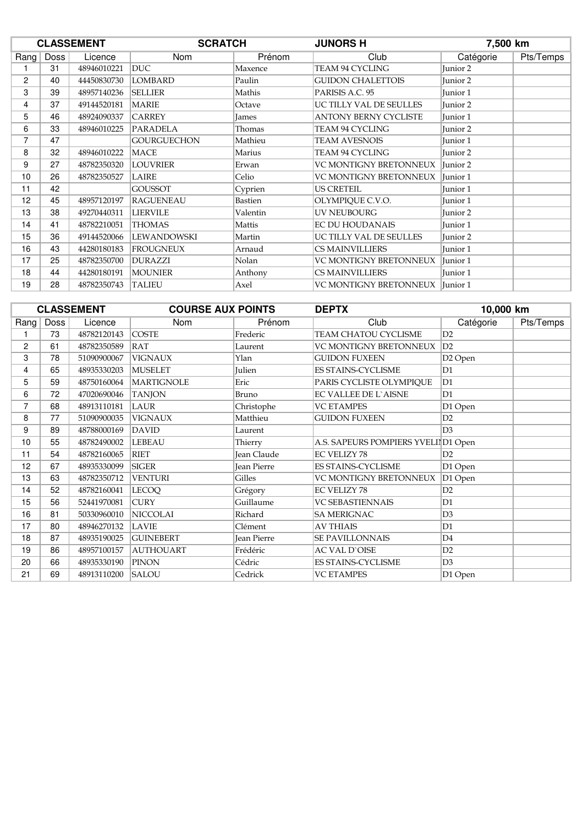|                |      | <b>CLASSEMENT</b> | <b>SCRATCH</b>     |                | <b>JUNORS H</b><br>7,500 km  |                     |           |
|----------------|------|-------------------|--------------------|----------------|------------------------------|---------------------|-----------|
| Rang           | Doss | Licence           | <b>Nom</b>         | Prénom         | Club                         | Catégorie           | Pts/Temps |
|                | 31   | 48946010221       | <b>DUC</b>         | Maxence        | TEAM 94 CYCLING              | Junior 2            |           |
| $\overline{2}$ | 40   | 44450830730       | <b>LOMBARD</b>     | Paulin         | <b>GUIDON CHALETTOIS</b>     | Junior 2            |           |
| 3              | 39   | 48957140236       | <b>SELLIER</b>     | Mathis         | PARISIS A.C. 95              | Junior 1            |           |
| 4              | 37   | 49144520181       | <b>MARIE</b>       | Octave         | UC TILLY VAL DE SEULLES      | Junior 2            |           |
| 5              | 46   | 48924090337       | <b>CARREY</b>      | <b>James</b>   | <b>ANTONY BERNY CYCLISTE</b> | Junior 1            |           |
| 6              | 33   | 48946010225       | PARADELA           | Thomas         | TEAM 94 CYCLING              | Junior 2            |           |
| 7              | 47   |                   | <b>GOURGUECHON</b> | Mathieu        | <b>TEAM AVESNOIS</b>         | Junior 1            |           |
| 8              | 32   | 48946010222       | <b>MACE</b>        | Marius         | <b>TEAM 94 CYCLING</b>       | Junior 2            |           |
| 9              | 27   | 48782350320       | <b>LOUVRIER</b>    | Erwan          | VC MONTIGNY BRETONNEUX       | Iunior 2            |           |
| 10             | 26   | 48782350527       | <b>LAIRE</b>       | Celio          | VC MONTIGNY BRETONNEUX       | Junior 1            |           |
| 11             | 42   |                   | <b>GOUSSOT</b>     | Cyprien        | US CRETEIL                   | Junior 1            |           |
| 12             | 45   | 48957120197       | <b>RAGUENEAU</b>   | <b>Bastien</b> | OLYMPIQUE C.V.O.             | Junior 1            |           |
| 13             | 38   | 49270440311       | <b>LIERVILE</b>    | Valentin       | UV NEUBOURG                  | Junior 2            |           |
| 14             | 41   | 48782210051       | <b>THOMAS</b>      | Mattis         | <b>EC DU HOUDANAIS</b>       | Junior 1            |           |
| 15             | 36   | 49144520066       | LEWANDOWSKI        | Martin         | UC TILLY VAL DE SEULLES      | Junior 2            |           |
| 16             | 43   | 44280180183       | <b>FROUGNEUX</b>   | Arnaud         | <b>CS MAINVILLIERS</b>       | Junior 1            |           |
| 17             | 25   | 48782350700       | <b>DURAZZI</b>     | Nolan          | VC MONTIGNY BRETONNEUX       | Junior <sub>1</sub> |           |
| 18             | 44   | 44280180191       | <b>MOUNIER</b>     | Anthony        | <b>CS MAINVILLIERS</b>       | Junior 1            |           |
| 19             | 28   | 48782350743       | <b>TALIEU</b>      | Axel           | VC MONTIGNY BRETONNEUX       | Iunior <sub>1</sub> |           |

|                |      | <b>CLASSEMENT</b> | <b>COURSE AUX POINTS</b> |                    | 10,000 km<br><b>DEPTX</b>           |                     |           |
|----------------|------|-------------------|--------------------------|--------------------|-------------------------------------|---------------------|-----------|
| Rang           | Doss | Licence           | <b>Nom</b>               | Prénom             | Club                                | Catégorie           | Pts/Temps |
|                | 73   | 48782120143       | <b>COSTE</b>             | Frederic           | TEAM CHATOU CYCLISME                | D2                  |           |
| $\overline{2}$ | 61   | 48782350589       | RAT                      | Laurent            | VC MONTIGNY BRETONNEUX              | D2                  |           |
| 3              | 78   | 51090900067       | <b>VIGNAUX</b>           | Ylan               | <b>GUIDON FUXEEN</b>                | D <sub>2</sub> Open |           |
| 4              | 65   | 48935330203       | <b>MUSELET</b>           | Julien             | <b>ES STAINS-CYCLISME</b>           | D <sub>1</sub>      |           |
| 5              | 59   | 48750160064       | <b>MARTIGNOLE</b>        | Eric               | PARIS CYCLISTE OLYMPIOUE            | D1                  |           |
| 6              | 72   | 47020690046       | <b>TANJON</b>            | Bruno              | <b>EC VALLEE DE L'AISNE</b>         | D1                  |           |
| $\overline{7}$ | 68   | 48913110181       | LAUR                     | Christophe         | <b>VC ETAMPES</b>                   | D1 Open             |           |
| 8              | 77   | 51090900035       | <b>VIGNAUX</b>           | Matthieu           | <b>GUIDON FUXEEN</b>                | D2                  |           |
| 9              | 89   | 48788000169       | <b>DAVID</b>             | Laurent            |                                     | D <sub>3</sub>      |           |
| 10             | 55   | 48782490002       | <b>LEBEAU</b>            | Thierry            | A.S. SAPEURS POMPIERS YVELI D1 Open |                     |           |
| 11             | 54   | 48782160065       | <b>RIET</b>              | <b>Jean Claude</b> | <b>EC VELIZY 78</b>                 | D2                  |           |
| 12             | 67   | 48935330099       | <b>SIGER</b>             | <b>Jean Pierre</b> | ES STAINS-CYCLISME                  | D1 Open             |           |
| 13             | 63   | 48782350712       | <b>VENTURI</b>           | Gilles             | VC MONTIGNY BRETONNEUX              | D1 Open             |           |
| 14             | 52   | 48782160041       | <b>LECOQ</b>             | Grégory            | <b>EC VELIZY 78</b>                 | D2                  |           |
| 15             | 56   | 52441970081       | <b>CURY</b>              | Guillaume          | <b>VC SEBASTIENNAIS</b>             | D1                  |           |
| 16             | 81   | 50330960010       | <b>NICCOLAI</b>          | Richard            | <b>SA MERIGNAC</b>                  | D <sub>3</sub>      |           |
| 17             | 80   | 48946270132       | <b>LAVIE</b>             | Clément            | <b>AV THIAIS</b>                    | D1                  |           |
| 18             | 87   | 48935190025       | <b>GUINEBERT</b>         | <b>Jean Pierre</b> | <b>SE PAVILLONNAIS</b>              | D <sub>4</sub>      |           |
| 19             | 86   | 48957100157       | <b>AUTHOUART</b>         | Frédéric           | <b>AC VAL D'OISE</b>                | D2                  |           |
| 20             | 66   | 48935330190       | <b>PINON</b>             | Cédric             | <b>ES STAINS-CYCLISME</b>           | D <sub>3</sub>      |           |
| 21             | 69   | 48913110200       | <b>SALOU</b>             | Cedrick            | <b>VC ETAMPES</b>                   | D1 Open             |           |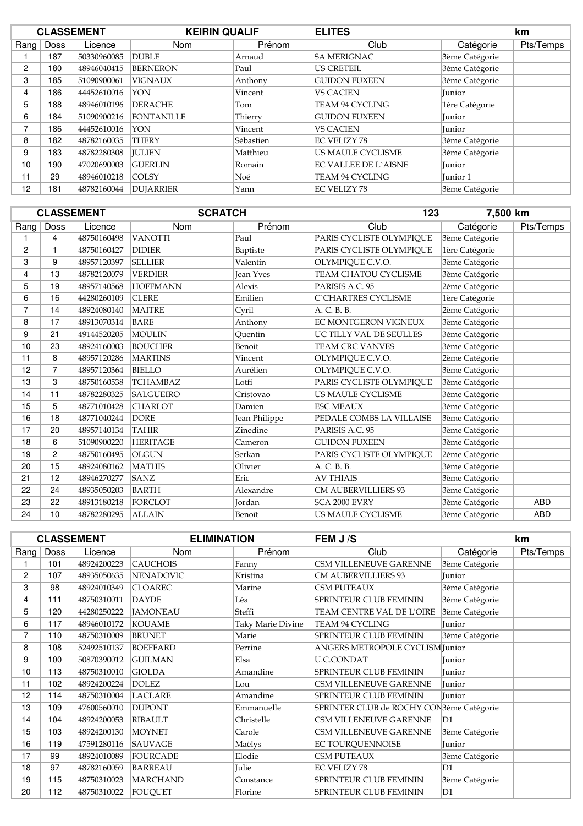|      | <b>CLASSEMENT</b> |             | <b>KEIRIN QUALIF</b> |           | <b>ELITES</b>               |                | km        |
|------|-------------------|-------------|----------------------|-----------|-----------------------------|----------------|-----------|
| Rang | Doss              | Licence     | <b>Nom</b>           | Prénom    | Club                        | Catégorie      | Pts/Temps |
|      | 187               | 50330960085 | <b>DUBLE</b>         | Arnaud    | <b>SA MERIGNAC</b>          | 3ème Catégorie |           |
| 2    | 180               | 48946040415 | <b>BERNERON</b>      | Paul      | <b>US CRETEIL</b>           | 3ème Catégorie |           |
| 3    | 185               | 51090900061 | <b>VIGNAUX</b>       | Anthony   | <b>GUIDON FUXEEN</b>        | 3ème Catégorie |           |
| 4    | 186               | 44452610016 | <b>YON</b>           | Vincent   | <b>VS CACIEN</b>            | Junior         |           |
| 5    | 188               | 48946010196 | <b>DERACHE</b>       | Tom       | TEAM 94 CYCLING             | 1ère Catégorie |           |
| 6    | 184               | 51090900216 | <b>FONTANILLE</b>    | Thierry   | <b>GUIDON FUXEEN</b>        | Junior         |           |
| 7    | 186               | 44452610016 | <b>YON</b>           | Vincent   | <b>VS CACIEN</b>            | Junior         |           |
| 8    | 182               | 48782160035 | <b>THERY</b>         | Sébastien | <b>EC VELIZY 78</b>         | 3ème Catégorie |           |
| 9    | 183               | 48782280308 | <b>IULIEN</b>        | Matthieu  | US MAULE CYCLISME           | 3ème Catégorie |           |
| 10   | 190               | 47020690003 | <b>GUERLIN</b>       | Romain    | <b>EC VALLEE DE L'AISNE</b> | Junior         |           |
| 11   | 29                | 48946010218 | <b>COLSY</b>         | Noé       | TEAM 94 CYCLING             | Junior 1       |           |
| 12   | 181               | 48782160044 | <b>DUJARRIER</b>     | Yann      | <b>EC VELIZY 78</b>         | 3ème Catégorie |           |

|                |      | <b>CLASSEMENT</b> | <b>SCRATCH</b>   |                  | 123                         | 7,500 km       |            |
|----------------|------|-------------------|------------------|------------------|-----------------------------|----------------|------------|
| Rang           | Doss | Licence           | Nom              | Prénom           | Club                        | Catégorie      | Pts/Temps  |
|                | 4    | 48750160498       | <b>VANOTTI</b>   | Paul             | PARIS CYCLISTE OLYMPIQUE    | 3ème Catégorie |            |
| $\overline{c}$ |      | 48750160427       | <b>DIDIER</b>    | Baptiste         | PARIS CYCLISTE OLYMPIOUE    | 1ère Catégorie |            |
| 3              | 9    | 48957120397       | <b>SELLIER</b>   | Valentin         | OLYMPIQUE C.V.O.            | 3ème Catégorie |            |
| 4              | 13   | 48782120079       | <b>VERDIER</b>   | <b>Jean Yves</b> | <b>TEAM CHATOU CYCLISME</b> | 3ème Catégorie |            |
| 5              | 19   | 48957140568       | <b>HOFFMANN</b>  | Alexis           | PARISIS A.C. 95             | 2ème Catégorie |            |
| 6              | 16   | 44280260109       | <b>CLERE</b>     | Emilien          | C`CHARTRES CYCLISME         | 1ère Catégorie |            |
| $\overline{7}$ | 14   | 48924080140       | <b>MAITRE</b>    | Cyril            | A. C. B. B.                 | 2ème Catégorie |            |
| 8              | 17   | 48913070314       | <b>BARE</b>      | Anthony          | <b>EC MONTGERON VIGNEUX</b> | 3ème Catégorie |            |
| 9              | 21   | 49144520205       | MOULIN           | Ouentin          | UC TILLY VAL DE SEULLES     | 3ème Catégorie |            |
| 10             | 23   | 48924160003       | <b>BOUCHER</b>   | Benoit           | <b>TEAM CRC VANVES</b>      | 3ème Catégorie |            |
| 11             | 8    | 48957120286       | <b>MARTINS</b>   | Vincent          | OLYMPIQUE C.V.O.            | 2ème Catégorie |            |
| 12             | 7    | 48957120364       | <b>BIELLO</b>    | Aurélien         | OLYMPIOUE C.V.O.            | 3ème Catégorie |            |
| 13             | 3    | 48750160538       | <b>TCHAMBAZ</b>  | Lotfi            | PARIS CYCLISTE OLYMPIQUE    | 3ème Catégorie |            |
| 14             | 11   | 48782280325       | <b>SALGUEIRO</b> | Cristovao        | US MAULE CYCLISME           | 3ème Catégorie |            |
| 15             | 5    | 48771010428       | <b>CHARLOT</b>   | Damien           | <b>ESC MEAUX</b>            | 3ème Catégorie |            |
| 16             | 18   | 48771040244       | <b>DORE</b>      | Jean Philippe    | PEDALE COMBS LA VILLAISE    | 3ème Catégorie |            |
| 17             | 20   | 48957140134       | <b>TAHIR</b>     | Zinedine         | PARISIS A.C. 95             | 3ème Catégorie |            |
| 18             | 6    | 51090900220       | <b>HERITAGE</b>  | Cameron          | <b>GUIDON FUXEEN</b>        | 3ème Catégorie |            |
| 19             | 2    | 48750160495       | <b>OLGUN</b>     | Serkan           | PARIS CYCLISTE OLYMPIQUE    | 2ème Catégorie |            |
| 20             | 15   | 48924080162       | <b>MATHIS</b>    | Olivier          | A. C. B. B.                 | 3ème Catégorie |            |
| 21             | 12   | 48946270277       | <b>SANZ</b>      | Eric             | <b>AV THIAIS</b>            | 3ème Catégorie |            |
| 22             | 24   | 48935050203       | <b>BARTH</b>     | Alexandre        | CM AUBERVILLIERS 93         | 3ème Catégorie |            |
| 23             | 22   | 48913180218       | <b>FORCLOT</b>   | Jordan           | SCA 2000 EVRY               | 3ème Catégorie | <b>ABD</b> |
| 24             | 10   | 48782280295       | <b>ALLAIN</b>    | Benoît           | US MAULE CYCLISME           | 3ème Catégorie | <b>ABD</b> |

|      |      | <b>CLASSEMENT</b> | <b>ELIMINATION</b> |                   | FEM J /S                                 |                | km        |
|------|------|-------------------|--------------------|-------------------|------------------------------------------|----------------|-----------|
| Rang | Doss | Licence           | Nom                | Prénom            | Club                                     | Catégorie      | Pts/Temps |
|      | 101  | 48924200223       | <b>CAUCHOIS</b>    | Fanny             | CSM VILLENEUVE GARENNE                   | 3ème Catégorie |           |
| 2    | 107  | 48935050635       | <b>NENADOVIC</b>   | Kristina          | <b>CM AUBERVILLIERS 93</b>               | Junior         |           |
| 3    | 98   | 48924010349       | <b>CLOAREC</b>     | Marine            | <b>CSM PUTEAUX</b>                       | 3ème Catégorie |           |
| 4    | 111  | 48750310011       | <b>DAYDE</b>       | Léa               | SPRINTEUR CLUB FEMININ                   | 3ème Catégorie |           |
| 5    | 120  | 44280250222       | <b>JAMONEAU</b>    | Steffi            | TEAM CENTRE VAL DE L'OIRE                | 3ème Catégorie |           |
| 6    | 117  | 48946010172       | <b>KOUAME</b>      | Taky Marie Divine | TEAM 94 CYCLING                          | Junior         |           |
| 7    | 110  | 48750310009       | <b>BRUNET</b>      | Marie             | SPRINTEUR CLUB FEMININ                   | 3ème Catégorie |           |
| 8    | 108  | 52492510137       | <b>BOEFFARD</b>    | Perrine           | ANGERS METROPOLE CYCLISM Junior          |                |           |
| 9    | 100  | 50870390012       | <b>GUILMAN</b>     | Elsa              | <b>U.C.CONDAT</b>                        | Junior         |           |
| 10   | 113  | 48750310010       | <b>GIOLDA</b>      | Amandine          | SPRINTEUR CLUB FEMININ                   | Junior         |           |
| 11   | 102  | 48924200224       | <b>DOLEZ</b>       | Lou               | CSM VILLENEUVE GARENNE                   | Junior         |           |
| 12   | 114  | 48750310004       | <b>LACLARE</b>     | Amandine          | SPRINTEUR CLUB FEMININ                   | Junior         |           |
| 13   | 109  | 47600560010       | <b>DUPONT</b>      | Emmanuelle        | SPRINTER CLUB de ROCHY CON3ème Catégorie |                |           |
| 14   | 104  | 48924200053       | <b>RIBAULT</b>     | Christelle        | CSM VILLENEUVE GARENNE                   | D <sub>1</sub> |           |
| 15   | 103  | 48924200130       | <b>MOYNET</b>      | Carole            | CSM VILLENEUVE GARENNE                   | 3ème Catégorie |           |
| 16   | 119  | 47591280116       | <b>SAUVAGE</b>     | Maëlys            | EC TOURQUENNOISE                         | Junior         |           |
| 17   | 99   | 48924010089       | FOURCADE           | Elodie            | CSM PUTEAUX                              | 3ème Catégorie |           |
| 18   | 97   | 48782160059       | <b>BARREAU</b>     | Julie             | <b>EC VELIZY 78</b>                      | D1             |           |
| 19   | 115  | 48750310023       | <b>MARCHAND</b>    | Constance         | <b>SPRINTEUR CLUB FEMININ</b>            | 3ème Catégorie |           |
| 20   | 112  | 48750310022       | <b>FOUQUET</b>     | Florine           | SPRINTEUR CLUB FEMININ                   | D1             |           |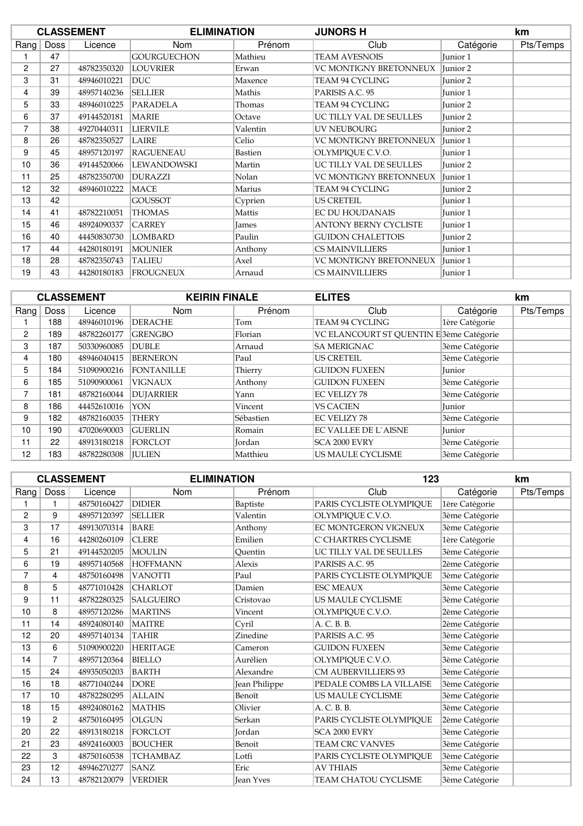|                |             | <b>CLASSEMENT</b> | <b>ELIMINATION</b> |                | <b>JUNORS H</b>              |                     | km        |
|----------------|-------------|-------------------|--------------------|----------------|------------------------------|---------------------|-----------|
| Rang           | <b>Doss</b> | Licence           | Nom                | Prénom         | Club                         | Catégorie           | Pts/Temps |
|                | 47          |                   | <b>GOURGUECHON</b> | Mathieu        | <b>TEAM AVESNOIS</b>         | Junior 1            |           |
| $\overline{c}$ | 27          | 48782350320       | <b>LOUVRIER</b>    | Erwan          | VC MONTIGNY BRETONNEUX       | Junior 2            |           |
| 3              | 31          | 48946010221       | DUC.               | Maxence        | TEAM 94 CYCLING              | Junior 2            |           |
| 4              | 39          | 48957140236       | <b>SELLIER</b>     | Mathis         | PARISIS A.C. 95              | Junior 1            |           |
| 5              | 33          | 48946010225       | PARADELA           | Thomas         | TEAM 94 CYCLING              | Junior <sub>2</sub> |           |
| 6              | 37          | 49144520181       | <b>MARIE</b>       | Octave         | UC TILLY VAL DE SEULLES      | Junior 2            |           |
| 7              | 38          | 49270440311       | <b>LIERVILE</b>    | Valentin       | UV NEUBOURG                  | Junior 2            |           |
| 8              | 26          | 48782350527       | <b>LAIRE</b>       | Celio          | VC MONTIGNY BRETONNEUX       | Junior 1            |           |
| 9              | 45          | 48957120197       | <b>RAGUENEAU</b>   | <b>Bastien</b> | OLYMPIOUE C.V.O.             | Junior 1            |           |
| 10             | 36          | 49144520066       | LEWANDOWSKI        | Martin         | UC TILLY VAL DE SEULLES      | Junior 2            |           |
| 11             | 25          | 48782350700       | <b>DURAZZI</b>     | Nolan          | VC MONTIGNY BRETONNEUX       | Junior 1            |           |
| 12             | 32          | 48946010222       | MACE               | Marius         | TEAM 94 CYCLING              | Junior 2            |           |
| 13             | 42          |                   | <b>GOUSSOT</b>     | Cyprien        | <b>US CRETEIL</b>            | Junior 1            |           |
| 14             | 41          | 48782210051       | <b>THOMAS</b>      | Mattis         | <b>EC DU HOUDANAIS</b>       | Junior 1            |           |
| 15             | 46          | 48924090337       | <b>CARREY</b>      | <b>James</b>   | <b>ANTONY BERNY CYCLISTE</b> | Junior 1            |           |
| 16             | 40          | 44450830730       | <b>LOMBARD</b>     | Paulin         | <b>GUIDON CHALETTOIS</b>     | Junior 2            |           |
| 17             | 44          | 44280180191       | <b>MOUNIER</b>     | Anthony        | <b>CS MAINVILLIERS</b>       | Junior 1            |           |
| 18             | 28          | 48782350743       | <b>TALIEU</b>      | Axel           | VC MONTIGNY BRETONNEUX       | Junior 1            |           |
| 19             | 43          | 44280180183       | <b>FROUGNEUX</b>   | Arnaud         | CS MAINVILLIERS              | Junior 1            |           |

|      | <b>CLASSEMENT</b> |             | <b>KEIRIN FINALE</b> |           | <b>ELITES</b>                            |                | km        |
|------|-------------------|-------------|----------------------|-----------|------------------------------------------|----------------|-----------|
| Rang | Doss              | Licence     | <b>Nom</b>           | Prénom    | Club                                     | Catégorie      | Pts/Temps |
|      | 188               | 48946010196 | <b>DERACHE</b>       | Tom       | TEAM 94 CYCLING                          | 1ère Catégorie |           |
| 2    | 189               | 48782260177 | <b>GRENGBO</b>       | Florian   | VC ELANCOURT ST QUENTIN E 3ème Catégorie |                |           |
| 3    | 187               | 50330960085 | <b>DUBLE</b>         | Arnaud    | <b>SA MERIGNAC</b>                       | 3ème Catégorie |           |
| 4    | 180               | 48946040415 | <b>BERNERON</b>      | Paul      | <b>US CRETEIL</b>                        | 3ème Catégorie |           |
| 5    | 184               | 51090900216 | <b>FONTANILLE</b>    | Thierry   | <b>GUIDON FUXEEN</b>                     | <b>Iunior</b>  |           |
| 6    | 185               | 51090900061 | <b>VIGNAUX</b>       | Anthony   | <b>GUIDON FUXEEN</b>                     | 3ème Catégorie |           |
| 7    | 181               | 48782160044 | <b>DUJARRIER</b>     | Yann      | <b>EC VELIZY 78</b>                      | 3ème Catégorie |           |
| 8    | 186               | 44452610016 | YON                  | Vincent   | <b>VS CACIEN</b>                         | <b>Iunior</b>  |           |
| 9    | 182               | 48782160035 | <b>THERY</b>         | Sébastien | <b>EC VELIZY 78</b>                      | 3ème Catégorie |           |
| 10   | 190               | 47020690003 | <b>GUERLIN</b>       | Romain    | <b>EC VALLEE DE L'AISNE</b>              | Junior         |           |
| 11   | 22                | 48913180218 | <b>FORCLOT</b>       | Jordan    | SCA 2000 EVRY                            | 3ème Catégorie |           |
| 12   | 183               | 48782280308 | <b>IULIEN</b>        | Matthieu  | US MAULE CYCLISME                        | 3ème Catégorie |           |

|      |                | <b>CLASSEMENT</b> | <b>ELIMINATION</b> |                  | 123                         |                | km        |
|------|----------------|-------------------|--------------------|------------------|-----------------------------|----------------|-----------|
| Rang | Doss           | Licence           | Nom                | Prénom           | Club                        | Catégorie      | Pts/Temps |
|      |                | 48750160427       | <b>DIDIER</b>      | Baptiste         | PARIS CYCLISTE OLYMPIQUE    | 1ère Catégorie |           |
| 2    | 9              | 48957120397       | <b>SELLIER</b>     | Valentin         | OLYMPIQUE C.V.O.            | 3ème Catégorie |           |
| 3    | 17             | 48913070314       | <b>BARE</b>        | Anthony          | <b>EC MONTGERON VIGNEUX</b> | 3ème Catégorie |           |
| 4    | 16             | 44280260109       | <b>CLERE</b>       | Emilien          | <b>C'CHARTRES CYCLISME</b>  | 1ère Catégorie |           |
| 5    | 21             | 49144520205       | MOULIN             | Ouentin          | UC TILLY VAL DE SEULLES     | 3ème Catégorie |           |
| 6    | 19             | 48957140568       | <b>HOFFMANN</b>    | Alexis           | PARISIS A.C. 95             | 2ème Catégorie |           |
| 7    | 4              | 48750160498       | <b>VANOTTI</b>     | Paul             | PARIS CYCLISTE OLYMPIOUE    | 3ème Catégorie |           |
| 8    | 5              | 48771010428       | <b>CHARLOT</b>     | Damien           | <b>ESC MEAUX</b>            | 3ème Catégorie |           |
| 9    | 11             | 48782280325       | <b>SALGUEIRO</b>   | Cristovao        | US MAULE CYCLISME           | 3ème Catégorie |           |
| 10   | 8              | 48957120286       | <b>MARTINS</b>     | Vincent          | OLYMPIQUE C.V.O.            | 2ème Catégorie |           |
| 11   | 14             | 48924080140       | <b>MAITRE</b>      | Cyril            | A. C. B. B.                 | 2ème Catégorie |           |
| 12   | 20             | 48957140134       | <b>TAHIR</b>       | Zinedine         | PARISIS A.C. 95             | 3ème Catégorie |           |
| 13   | 6              | 51090900220       | <b>HERITAGE</b>    | Cameron          | <b>GUIDON FUXEEN</b>        | 3ème Catégorie |           |
| 14   | $\overline{7}$ | 48957120364       | <b>BIELLO</b>      | Aurélien         | OLYMPIQUE C.V.O.            | 3ème Catégorie |           |
| 15   | 24             | 48935050203       | <b>BARTH</b>       | Alexandre        | <b>CM AUBERVILLIERS 93</b>  | 3ème Catégorie |           |
| 16   | 18             | 48771040244       | <b>DORE</b>        | Jean Philippe    | PEDALE COMBS LA VILLAISE    | 3ème Catégorie |           |
| 17   | 10             | 48782280295       | <b>ALLAIN</b>      | Benoît           | US MAULE CYCLISME           | 3ème Catégorie |           |
| 18   | 15             | 48924080162       | <b>MATHIS</b>      | Olivier          | A. C. B. B.                 | 3ème Catégorie |           |
| 19   | $\overline{c}$ | 48750160495       | <b>OLGUN</b>       | Serkan           | PARIS CYCLISTE OLYMPIOUE    | 2ème Catégorie |           |
| 20   | 22             | 48913180218       | FORCLOT            | <b>Jordan</b>    | SCA 2000 EVRY               | 3ème Catégorie |           |
| 21   | 23             | 48924160003       | <b>BOUCHER</b>     | Benoit           | <b>TEAM CRC VANVES</b>      | 3ème Catégorie |           |
| 22   | 3              | 48750160538       | <b>TCHAMBAZ</b>    | Lotfi            | PARIS CYCLISTE OLYMPIQUE    | 3ème Catégorie |           |
| 23   | 12             | 48946270277       | <b>SANZ</b>        | Eric             | <b>AV THIAIS</b>            | 3ème Catégorie |           |
| 24   | 13             | 48782120079       | <b>VERDIER</b>     | <b>Jean Yves</b> | TEAM CHATOU CYCLISME        | 3ème Catégorie |           |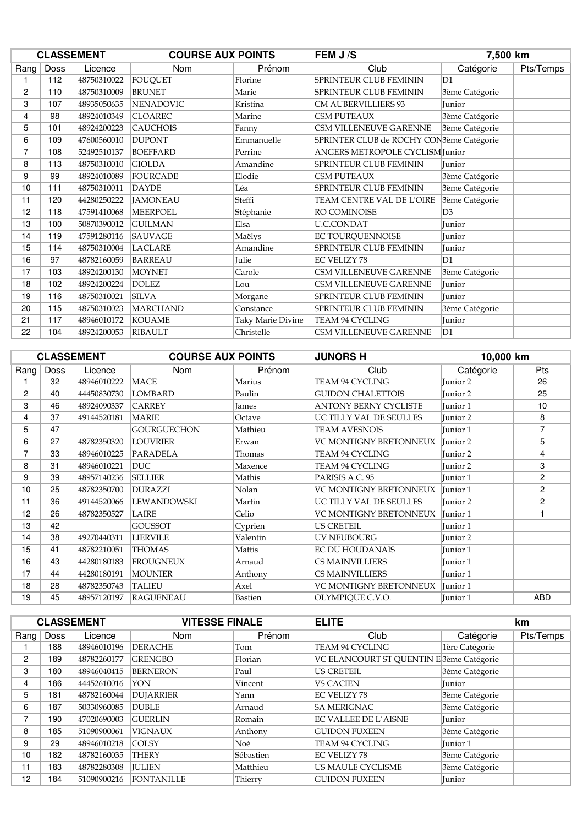|                | <b>CLASSEMENT</b><br><b>COURSE AUX POINTS</b> |             |                  | FEM J/S           | 7,500 km                                              |                |           |
|----------------|-----------------------------------------------|-------------|------------------|-------------------|-------------------------------------------------------|----------------|-----------|
| Rang           | Doss                                          | Licence     | <b>Nom</b>       | Prénom            | Club                                                  | Catégorie      | Pts/Temps |
|                | 112                                           | 48750310022 | <b>FOUQUET</b>   | Florine           | SPRINTEUR CLUB FEMININ                                | D1             |           |
| 2              | 110                                           | 48750310009 | <b>BRUNET</b>    | Marie             | SPRINTEUR CLUB FEMININ                                | 3ème Catégorie |           |
| 3              | 107                                           | 48935050635 | <b>NENADOVIC</b> | Kristina          | <b>CM AUBERVILLIERS 93</b>                            | Junior         |           |
| 4              | 98                                            | 48924010349 | <b>CLOAREC</b>   | Marine            | CSM PUTEAUX                                           | 3ème Catégorie |           |
| 5              | 101                                           | 48924200223 | <b>CAUCHOIS</b>  | Fanny             | CSM VILLENEUVE GARENNE                                | 3ème Catégorie |           |
| 6              | 109                                           | 47600560010 | <b>DUPONT</b>    | Emmanuelle        | SPRINTER CLUB de ROCHY CON <sup>3</sup> ème Catégorie |                |           |
| $\overline{7}$ | 108                                           | 52492510137 | <b>BOEFFARD</b>  | Perrine           | ANGERS METROPOLE CYCLISM Junior                       |                |           |
| 8              | 113                                           | 48750310010 | <b>GIOLDA</b>    | Amandine          | SPRINTEUR CLUB FEMININ                                | Junior         |           |
| 9              | 99                                            | 48924010089 | <b>FOURCADE</b>  | Elodie            | <b>CSM PUTEAUX</b>                                    | 3ème Catégorie |           |
| 10             | 111                                           | 48750310011 | <b>DAYDE</b>     | Léa               | SPRINTEUR CLUB FEMININ                                | 3ème Catégorie |           |
| 11             | 120                                           | 44280250222 | <b>JAMONEAU</b>  | Steffi            | TEAM CENTRE VAL DE L'OIRE                             | 3ème Catégorie |           |
| 12             | 118                                           | 47591410068 | <b>MEERPOEL</b>  | Stéphanie         | RO COMINOISE                                          | D <sub>3</sub> |           |
| 13             | 100                                           | 50870390012 | <b>GUILMAN</b>   | Elsa              | <b>U.C.CONDAT</b>                                     | Junior         |           |
| 14             | 119                                           | 47591280116 | <b>SAUVAGE</b>   | Maëlys            | EC TOURQUENNOISE                                      | Junior         |           |
| 15             | 114                                           | 48750310004 | <b>LACLARE</b>   | Amandine          | SPRINTEUR CLUB FEMININ                                | Junior         |           |
| 16             | 97                                            | 48782160059 | <b>BARREAU</b>   | Julie             | <b>EC VELIZY 78</b>                                   | D1             |           |
| 17             | 103                                           | 48924200130 | <b>MOYNET</b>    | Carole            | CSM VILLENEUVE GARENNE                                | 3ème Catégorie |           |
| 18             | 102                                           | 48924200224 | <b>DOLEZ</b>     | Lou               | CSM VILLENEUVE GARENNE                                | Junior         |           |
| 19             | 116                                           | 48750310021 | <b>SILVA</b>     | Morgane           | SPRINTEUR CLUB FEMININ                                | Junior         |           |
| 20             | 115                                           | 48750310023 | <b>MARCHAND</b>  | Constance         | SPRINTEUR CLUB FEMININ                                | 3ème Catégorie |           |
| 21             | 117                                           | 48946010172 | <b>KOUAME</b>    | Taky Marie Divine | <b>TEAM 94 CYCLING</b>                                | Junior         |           |
| 22             | 104                                           | 48924200053 | <b>RIBAULT</b>   | Christelle        | CSM VILLENEUVE GARENNE                                | D1             |           |

| <b>CLASSEMENT</b> |             |             | <b>COURSE AUX POINTS</b> |              | <b>JUNORS H</b>              | 10,000 km |                |
|-------------------|-------------|-------------|--------------------------|--------------|------------------------------|-----------|----------------|
| Rang              | <b>Doss</b> | Licence     | <b>Nom</b>               | Prénom       | Club                         | Catégorie | <b>Pts</b>     |
|                   | 32          | 48946010222 | MACE                     | Marius       | TEAM 94 CYCLING              | Junior 2  | 26             |
| 2                 | 40          | 44450830730 | <b>LOMBARD</b>           | Paulin       | <b>GUIDON CHALETTOIS</b>     | Junior 2  | 25             |
| 3                 | 46          | 48924090337 | <b>CARREY</b>            | <b>James</b> | <b>ANTONY BERNY CYCLISTE</b> | Junior 1  | 10             |
| 4                 | 37          | 49144520181 | <b>MARIE</b>             | Octave       | UC TILLY VAL DE SEULLES      | Junior 2  | 8              |
| 5                 | 47          |             | <b>GOURGUECHON</b>       | Mathieu      | <b>TEAM AVESNOIS</b>         | Junior 1  | 7              |
| 6                 | 27          | 48782350320 | <b>LOUVRIER</b>          | Erwan        | VC MONTIGNY BRETONNEUX       | Junior 2  | 5              |
| $\overline{7}$    | 33          | 48946010225 | PARADELA                 | Thomas       | TEAM 94 CYCLING              | Junior 2  | 4              |
| 8                 | 31          | 48946010221 | DUC.                     | Maxence      | TEAM 94 CYCLING              | Junior 2  | 3              |
| 9                 | 39          | 48957140236 | <b>SELLIER</b>           | Mathis       | PARISIS A.C. 95              | Junior 1  | $\overline{2}$ |
| 10                | 25          | 48782350700 | <b>DURAZZI</b>           | Nolan        | VC MONTIGNY BRETONNEUX       | Junior 1  | $\overline{2}$ |
| 11                | 36          | 49144520066 | LEWANDOWSKI              | Martin       | UC TILLY VAL DE SEULLES      | Junior 2  | $\overline{2}$ |
| 12                | 26          | 48782350527 | LAIRE                    | Celio        | VC MONTIGNY BRETONNEUX       | Junior 1  |                |
| 13                | 42          |             | <b>GOUSSOT</b>           | Cyprien      | <b>US CRETEIL</b>            | Junior 1  |                |
| 14                | 38          | 49270440311 | <b>LIERVILE</b>          | Valentin     | <b>UV NEUBOURG</b>           | Junior 2  |                |
| 15                | 41          | 48782210051 | <b>THOMAS</b>            | Mattis       | <b>EC DU HOUDANAIS</b>       | Junior 1  |                |
| 16                | 43          | 44280180183 | <b>FROUGNEUX</b>         | Arnaud       | <b>CS MAINVILLIERS</b>       | Junior 1  |                |
| 17                | 44          | 44280180191 | <b>MOUNIER</b>           | Anthony      | <b>CS MAINVILLIERS</b>       | Junior 1  |                |
| 18                | 28          | 48782350743 | <b>TALIEU</b>            | Axel         | VC MONTIGNY BRETONNEUX       | Junior 1  |                |
| 19                | 45          | 48957120197 | <b>RAGUENEAU</b>         | Bastien      | OLYMPIOUE C.V.O.             | Junior 1  | <b>ABD</b>     |

| <b>CLASSEMENT</b> |             |             | <b>VITESSE FINALE</b> |           | <b>ELITE</b>                             |                | km        |
|-------------------|-------------|-------------|-----------------------|-----------|------------------------------------------|----------------|-----------|
| Rang              | <b>Doss</b> | Licence     | <b>Nom</b>            | Prénom    | Club                                     | Catégorie      | Pts/Temps |
|                   | 188         | 48946010196 | <b>DERACHE</b>        | Tom       | TEAM 94 CYCLING                          | 1ère Catégorie |           |
| 2                 | 189         | 48782260177 | <b>GRENGBO</b>        | Florian   | VC ELANCOURT ST QUENTIN E 3ème Catégorie |                |           |
| 3                 | 180         | 48946040415 | <b>BERNERON</b>       | Paul      | <b>US CRETEIL</b>                        | 3ème Catégorie |           |
| 4                 | 186         | 44452610016 | <b>YON</b>            | Vincent   | <b>VS CACIEN</b>                         | <b>Iunior</b>  |           |
| 5                 | 181         | 48782160044 | <b>DUJARRIER</b>      | Yann      | <b>EC VELIZY 78</b>                      | 3ème Catégorie |           |
| 6                 | 187         | 50330960085 | <b>DUBLE</b>          | Arnaud    | <b>SA MERIGNAC</b>                       | 3ème Catégorie |           |
| $\overline{ }$    | 190         | 47020690003 | <b>GUERLIN</b>        | Romain    | <b>EC VALLEE DE L'AISNE</b>              | <b>Iunior</b>  |           |
| 8                 | 185         | 51090900061 | <b>VIGNAUX</b>        | Anthony   | <b>GUIDON FUXEEN</b>                     | 3ème Catégorie |           |
| 9                 | 29          | 48946010218 | <b>COLSY</b>          | Noé       | TEAM 94 CYCLING                          | Junior 1       |           |
| 10                | 182         | 48782160035 | <b>THERY</b>          | Sébastien | EC VELIZY 78                             | 3ème Catégorie |           |
| 11                | 183         | 48782280308 | <b>IULIEN</b>         | Matthieu  | US MAULE CYCLISME                        | 3ème Catégorie |           |
| 12                | 184         | 51090900216 | <b>FONTANILLE</b>     | Thierry   | <b>GUIDON FUXEEN</b>                     | Junior         |           |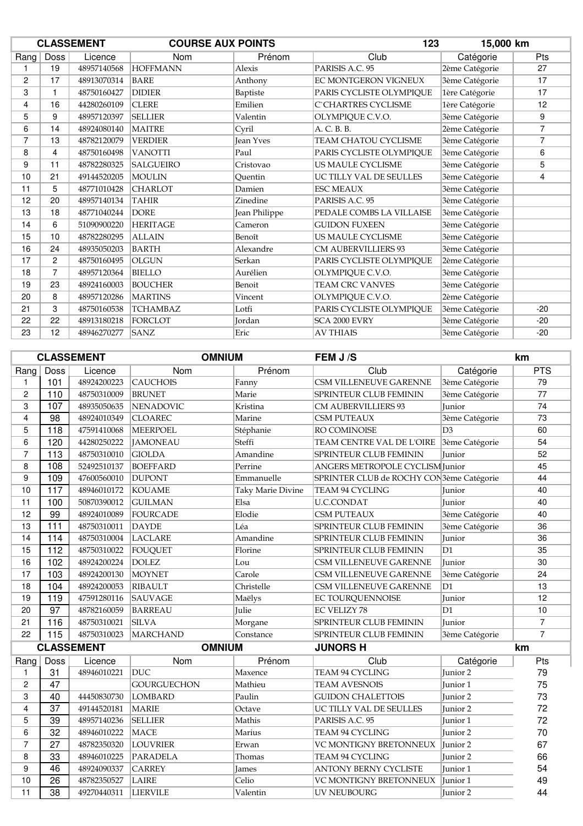| <b>CLASSEMENT</b> |                |             | <b>COURSE AUX POINTS</b> |                  | 15,000 km<br>123            |                |                |
|-------------------|----------------|-------------|--------------------------|------------------|-----------------------------|----------------|----------------|
| Rang              | <b>Doss</b>    | Licence     | Nom                      | Prénom           | Club                        | Catégorie      | Pts            |
|                   | 19             | 48957140568 | <b>HOFFMANN</b>          | Alexis           | PARISIS A.C. 95             | 2ème Catégorie | 27             |
| 2                 | 17             | 48913070314 | <b>BARE</b>              | Anthony          | <b>EC MONTGERON VIGNEUX</b> | 3ème Catégorie | 17             |
| 3                 |                | 48750160427 | <b>DIDIER</b>            | Baptiste         | PARIS CYCLISTE OLYMPIQUE    | 1ère Catégorie | 17             |
| 4                 | 16             | 44280260109 | <b>CLERE</b>             | Emilien          | <b>C`CHARTRES CYCLISME</b>  | 1ère Catégorie | 12             |
| 5                 | 9              | 48957120397 | <b>SELLIER</b>           | Valentin         | OLYMPIQUE C.V.O.            | 3ème Catégorie | 9              |
| 6                 | 14             | 48924080140 | <b>MAITRE</b>            | Cyril            | A. C. B. B.                 | 2ème Catégorie | $\overline{7}$ |
| 7                 | 13             | 48782120079 | <b>VERDIER</b>           | <b>Jean Yves</b> | TEAM CHATOU CYCLISME        | 3ème Catégorie | 7              |
| 8                 | 4              | 48750160498 | <b>VANOTTI</b>           | Paul             | PARIS CYCLISTE OLYMPIQUE    | 3ème Catégorie | 6              |
| 9                 | 11             | 48782280325 | <b>SALGUEIRO</b>         | Cristovao        | US MAULE CYCLISME           | 3ème Catégorie | 5              |
| 10                | 21             | 49144520205 | <b>MOULIN</b>            | Ouentin          | UC TILLY VAL DE SEULLES     | 3ème Catégorie | $\overline{4}$ |
| 11                | 5              | 48771010428 | <b>CHARLOT</b>           | Damien           | <b>ESC MEAUX</b>            | 3ème Catégorie |                |
| 12                | 20             | 48957140134 | <b>TAHIR</b>             | Zinedine         | PARISIS A.C. 95             | 3ème Catégorie |                |
| 13                | 18             | 48771040244 | <b>DORE</b>              | Jean Philippe    | PEDALE COMBS LA VILLAISE    | 3ème Catégorie |                |
| 14                | 6              | 51090900220 | <b>HERITAGE</b>          | Cameron          | <b>GUIDON FUXEEN</b>        | 3ème Catégorie |                |
| 15                | 10             | 48782280295 | <b>ALLAIN</b>            | Benoît           | US MAULE CYCLISME           | 3ème Catégorie |                |
| 16                | 24             | 48935050203 | <b>BARTH</b>             | Alexandre        | <b>CM AUBERVILLIERS 93</b>  | 3ème Catégorie |                |
| 17                | $\overline{c}$ | 48750160495 | <b>OLGUN</b>             | Serkan           | PARIS CYCLISTE OLYMPIQUE    | 2ème Catégorie |                |
| 18                | $\overline{7}$ | 48957120364 | <b>BIELLO</b>            | Aurélien         | OLYMPIQUE C.V.O.            | 3ème Catégorie |                |
| 19                | 23             | 48924160003 | <b>BOUCHER</b>           | Benoit           | <b>TEAM CRC VANVES</b>      | 3ème Catégorie |                |
| 20                | 8              | 48957120286 | <b>MARTINS</b>           | Vincent          | OLYMPIQUE C.V.O.            | 2ème Catégorie |                |
| 21                | 3              | 48750160538 | <b>TCHAMBAZ</b>          | Lotfi            | PARIS CYCLISTE OLYMPIQUE    | 3ème Catégorie | $-20$          |
| 22                | 22             | 48913180218 | FORCLOT                  | Jordan           | SCA 2000 EVRY               | 3ème Catégorie | $-20$          |
| 23                | 12             | 48946270277 | <b>SANZ</b>              | Eric             | <b>AV THIAIS</b>            | 3ème Catégorie | $-20$          |

| <b>CLASSEMENT</b>       |                 |                   | <b>OMNIUM</b>      |                   | FEM J/S                                               |                | km             |  |
|-------------------------|-----------------|-------------------|--------------------|-------------------|-------------------------------------------------------|----------------|----------------|--|
| Rang                    | <b>Doss</b>     | Licence           | Nom                | Prénom            | Club                                                  | Catégorie      | <b>PTS</b>     |  |
| $\mathbf{1}$            | 101             | 48924200223       | <b>CAUCHOIS</b>    | Fanny             | CSM VILLENEUVE GARENNE                                | 3ème Catégorie | 79             |  |
| $\overline{c}$          | 110             | 48750310009       | <b>BRUNET</b>      | Marie             | SPRINTEUR CLUB FEMININ                                | 3ème Catégorie | 77             |  |
| 3                       | 107             | 48935050635       | <b>NENADOVIC</b>   | Kristina          | <b>CM AUBERVILLIERS 93</b>                            | <b>Iunior</b>  | 74             |  |
| $\overline{\mathbf{4}}$ | 98              | 48924010349       | <b>CLOAREC</b>     | Marine            | CSM PUTEAUX                                           | 3ème Catégorie | 73             |  |
| 5                       | 118             | 47591410068       | <b>MEERPOEL</b>    | Stéphanie         | RO COMINOISE                                          | D3             | 60             |  |
| 6                       | 120             | 44280250222       | <b>JAMONEAU</b>    | Steffi            | TEAM CENTRE VAL DE L'OIRE                             | 3ème Catégorie | 54             |  |
| $\overline{7}$          | 113             | 48750310010       | <b>GIOLDA</b>      | Amandine          | SPRINTEUR CLUB FEMININ                                | Junior         | 52             |  |
| 8                       | 108             | 52492510137       | <b>BOEFFARD</b>    | Perrine           | ANGERS METROPOLE CYCLISM Junior                       |                | 45             |  |
| 9                       | 109             | 47600560010       | <b>DUPONT</b>      | Emmanuelle        | SPRINTER CLUB de ROCHY CON <sup>3</sup> ème Catégorie |                | 44             |  |
| 10                      | 117             | 48946010172       | <b>KOUAME</b>      | Taky Marie Divine | TEAM 94 CYCLING                                       | Junior         | 40             |  |
| 11                      | 100             | 50870390012       | <b>GUILMAN</b>     | Elsa              | <b>U.C.CONDAT</b>                                     | Junior         | 40             |  |
| 12                      | 99              | 48924010089       | <b>FOURCADE</b>    | Elodie            | <b>CSM PUTEAUX</b>                                    | 3ème Catégorie | 40             |  |
| 13                      | 111             | 48750310011       | <b>DAYDE</b>       | Léa               | SPRINTEUR CLUB FEMININ                                | 3ème Catégorie | 36             |  |
| 14                      | 114             | 48750310004       | <b>LACLARE</b>     | Amandine          | SPRINTEUR CLUB FEMININ                                | Junior         | 36             |  |
| 15                      | 112             | 48750310022       | <b>FOUQUET</b>     | Florine           | <b>SPRINTEUR CLUB FEMININ</b>                         | D1             | 35             |  |
| 16                      | 102             | 48924200224       | <b>DOLEZ</b>       | Lou               | CSM VILLENEUVE GARENNE                                | Junior         | 30             |  |
| 17                      | 103             | 48924200130       | <b>MOYNET</b>      | Carole            | CSM VILLENEUVE GARENNE                                | 3ème Catégorie | 24             |  |
| 18                      | 104             | 48924200053       | <b>RIBAULT</b>     | Christelle        | CSM VILLENEUVE GARENNE                                | D1             | 13             |  |
| 19                      | 119             | 47591280116       | <b>SAUVAGE</b>     | Maëlys            | <b>EC TOURQUENNOISE</b>                               | Junior         | 12             |  |
| 20                      | 97              | 48782160059       | <b>BARREAU</b>     | Julie             | <b>EC VELIZY 78</b>                                   | D1             | 10             |  |
| 21                      | 116             | 48750310021       | <b>SILVA</b>       | Morgane           | SPRINTEUR CLUB FEMININ                                | Junior         | $\overline{7}$ |  |
| 22                      | 115             | 48750310023       | <b>MARCHAND</b>    | Constance         | SPRINTEUR CLUB FEMININ                                | 3ème Catégorie | $\overline{7}$ |  |
|                         |                 | <b>CLASSEMENT</b> | <b>OMNIUM</b>      |                   | <b>JUNORS H</b>                                       |                | km             |  |
| Rang                    | Doss            | Licence           | <b>Nom</b>         | Prénom            | Club                                                  | Catégorie      | Pts            |  |
| $\mathbf{1}$            | 31              | 48946010221       | <b>DUC</b>         | Maxence           | TEAM 94 CYCLING                                       | Junior 2       | 79             |  |
| $\overline{c}$          | 47              |                   | <b>GOURGUECHON</b> | Mathieu           | <b>TEAM AVESNOIS</b>                                  | Junior 1       | 75             |  |
| 3                       | 40              | 44450830730       | <b>LOMBARD</b>     | Paulin            | <b>GUIDON CHALETTOIS</b>                              | Junior 2       | 73             |  |
| $\overline{4}$          | 37              | 49144520181       | <b>MARIE</b>       | Octave            | UC TILLY VAL DE SEULLES                               | Junior 2       | 72             |  |
| 5                       | 39              | 48957140236       | <b>SELLIER</b>     | Mathis            | PARISIS A.C. 95                                       | Junior 1       | 72             |  |
| 6                       | 32              | 48946010222       | <b>MACE</b>        | Marius            | TEAM 94 CYCLING                                       | Junior 2       | 70             |  |
| $\overline{7}$          | 27              | 48782350320       | <b>LOUVRIER</b>    | Erwan             | VC MONTIGNY BRETONNEUX                                | Junior 2       | 67             |  |
| 8                       | 33              | 48946010225       | PARADELA           | Thomas            | TEAM 94 CYCLING                                       | Junior 2       | 66             |  |
| 9                       | 46              | 48924090337       | <b>CARREY</b>      | James             | ANTONY BERNY CYCLISTE                                 | Junior 1       | 54             |  |
| 10                      | 26              | 48782350527       | <b>LAIRE</b>       | Celio             | VC MONTIGNY BRETONNEUX                                | Junior 1       | 49             |  |
| 11                      | $\overline{38}$ | 49270440311       | <b>LIERVILE</b>    | Valentin          | UV NEUBOURG                                           | Junior 2       | 44             |  |